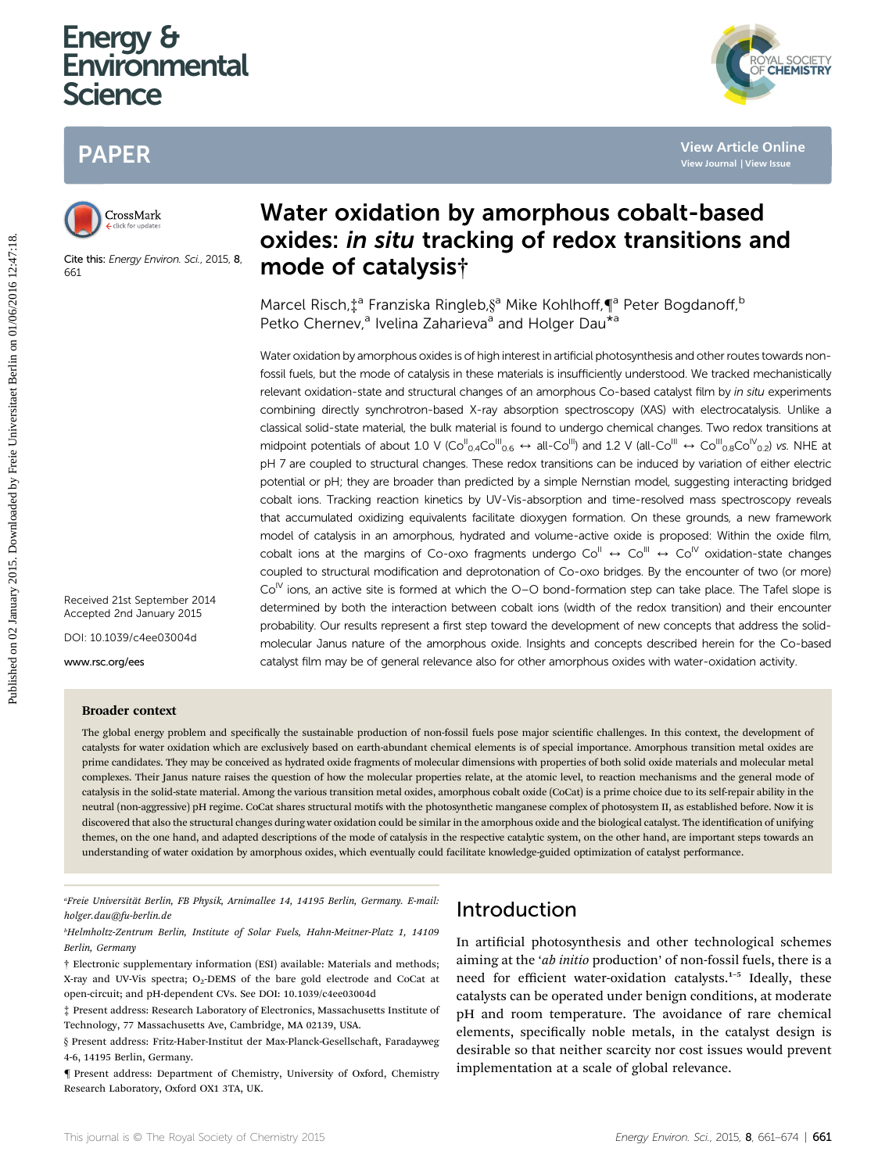# Energy & **Environmental Science**

# PAPER



Cite this: Energy Environ, Sci., 2015, 8, 661

# Water oxidation by amorphous cobalt-based oxides: in situ tracking of redox transitions and mode of catalysis†

Marcel Risch,  $\ddagger$ <sup>a</sup> Franziska Ringleb, §<sup>a</sup> Mike Kohlhoff, ¶<sup>a</sup> Peter Bogdanoff, <sup>b</sup> Petko Chernev,<sup>a</sup> Ivelina Zaharieva<sup>a</sup> and Holger Dau<sup>\*a</sup>

Water oxidation by amorphous oxides is of high interest in artificial photosynthesis and other routes towards nonfossil fuels, but the mode of catalysis in these materials is insufficiently understood. We tracked mechanistically relevant oxidation-state and structural changes of an amorphous Co-based catalyst film by in situ experiments combining directly synchrotron-based X-ray absorption spectroscopy (XAS) with electrocatalysis. Unlike a classical solid-state material, the bulk material is found to undergo chemical changes. Two redox transitions at midpoint potentials of about 1.0 V (Co<sup>II</sup><sub>0.4</sub>Co<sup>III</sup><sub>0.6</sub>  $\leftrightarrow$  all-Co<sup>III</sup>) and 1.2 V (all-Co<sup>III</sup>  $\leftrightarrow$  Co<sup>III</sup><sub>0.8</sub>Co<sup>IV</sup><sub>0.2</sub>) vs. NHE at pH 7 are coupled to structural changes. These redox transitions can be induced by variation of either electric potential or pH; they are broader than predicted by a simple Nernstian model, suggesting interacting bridged cobalt ions. Tracking reaction kinetics by UV-Vis-absorption and time-resolved mass spectroscopy reveals that accumulated oxidizing equivalents facilitate dioxygen formation. On these grounds, a new framework model of catalysis in an amorphous, hydrated and volume-active oxide is proposed: Within the oxide film, cobalt ions at the margins of Co-oxo fragments undergo  $Co^{II} \leftrightarrow Co^{III} \leftrightarrow Co^{IV}$  oxidation-state changes coupled to structural modification and deprotonation of Co-oxo bridges. By the encounter of two (or more)  $Co<sup>N</sup>$  ions, an active site is formed at which the O–O bond-formation step can take place. The Tafel slope is determined by both the interaction between cobalt ions (width of the redox transition) and their encounter probability. Our results represent a first step toward the development of new concepts that address the solidmolecular Janus nature of the amorphous oxide. Insights and concepts described herein for the Co-based catalyst film may be of general relevance also for other amorphous oxides with water-oxidation activity. PAPER<br> **Published on 02 States Constant Constant Constant Constant Constant Constant Constant Constant Constant Constant Constant Constant Constant Constant Constant Constant Constant Constant Constant Constant Constant Co** 

Received 21st September 2014 Accepted 2nd January 2015

DOI: 10.1039/c4ee03004d

www.rsc.org/ees

#### Broader context

The global energy problem and specifically the sustainable production of non-fossil fuels pose major scientific challenges. In this context, the development of catalysts for water oxidation which are exclusively based on earth-abundant chemical elements is of special importance. Amorphous transition metal oxides are prime candidates. They may be conceived as hydrated oxide fragments of molecular dimensions with properties of both solid oxide materials and molecular metal complexes. Their Janus nature raises the question of how the molecular properties relate, at the atomic level, to reaction mechanisms and the general mode of catalysis in the solid-state material. Among the various transition metal oxides, amorphous cobalt oxide (CoCat) is a prime choice due to its self-repair ability in the neutral (non-aggressive) pH regime. CoCat shares structural motifs with the photosynthetic manganese complex of photosystem II, as established before. Now it is discovered that also the structural changes during water oxidation could be similar in the amorphous oxide and the biological catalyst. The identification of unifying themes, on the one hand, and adapted descriptions of the mode of catalysis in the respective catalytic system, on the other hand, are important steps towards an understanding of water oxidation by amorphous oxides, which eventually could facilitate knowledge-guided optimization of catalyst performance.

a Freie Universitat Berlin, FB Physik, Arnimallee 14, 14195 Berlin, Germany. E-mail: ¨ holger.dau@fu-berlin.de

b Helmholtz-Zentrum Berlin, Institute of Solar Fuels, Hahn-Meitner-Platz 1, 14109 Berlin, Germany

† Electronic supplementary information (ESI) available: Materials and methods; X-ray and UV-Vis spectra;  $O_2$ -DEMS of the bare gold electrode and CoCat at open-circuit; and pH-dependent CVs. See DOI: 10.1039/c4ee03004d

‡ Present address: Research Laboratory of Electronics, Massachusetts Institute of Technology, 77 Massachusetts Ave, Cambridge, MA 02139, USA.

§ Present address: Fritz-Haber-Institut der Max-Planck-Gesellschaft, Faradayweg 4-6, 14195 Berlin, Germany.

{ Present address: Department of Chemistry, University of Oxford, Chemistry Research Laboratory, Oxford OX1 3TA, UK.

## Introduction

In artificial photosynthesis and other technological schemes aiming at the 'ab initio production' of non-fossil fuels, there is a need for efficient water-oxidation catalysts.<sup>1</sup>–<sup>5</sup> Ideally, these catalysts can be operated under benign conditions, at moderate pH and room temperature. The avoidance of rare chemical elements, specifically noble metals, in the catalyst design is desirable so that neither scarcity nor cost issues would prevent implementation at a scale of global relevance.

YAL SOCIETY<br>**CHEMISTRY**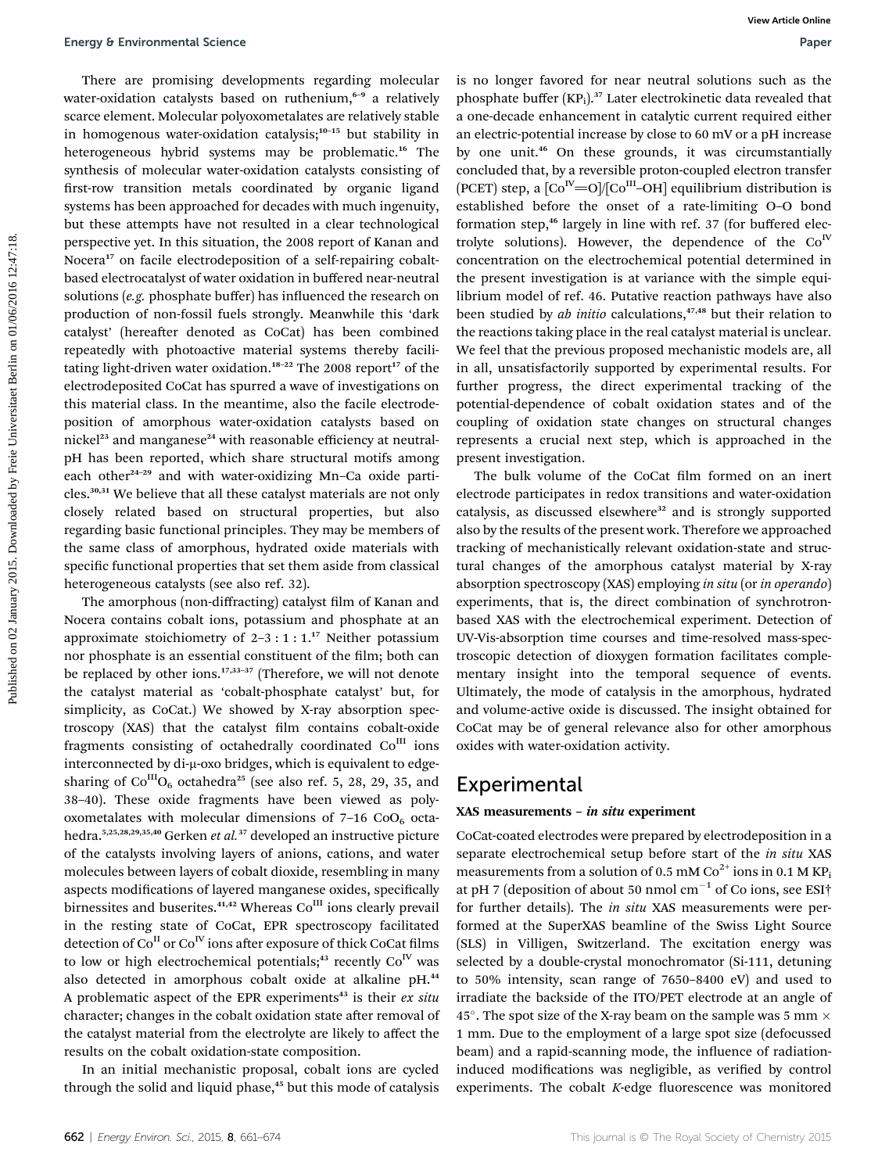There are promising developments regarding molecular water-oxidation catalysts based on ruthenium,<sup>6-9</sup> a relatively scarce element. Molecular polyoxometalates are relatively stable in homogenous water-oxidation catalysis;<sup>10-15</sup> but stability in heterogeneous hybrid systems may be problematic.<sup>16</sup> The synthesis of molecular water-oxidation catalysts consisting of first-row transition metals coordinated by organic ligand systems has been approached for decades with much ingenuity, but these attempts have not resulted in a clear technological perspective yet. In this situation, the 2008 report of Kanan and Nocera<sup>17</sup> on facile electrodeposition of a self-repairing cobaltbased electrocatalyst of water oxidation in buffered near-neutral solutions ( $e.g.$  phosphate buffer) has influenced the research on production of non-fossil fuels strongly. Meanwhile this 'dark catalyst' (hereafter denoted as CoCat) has been combined repeatedly with photoactive material systems thereby facilitating light-driven water oxidation.<sup>18-22</sup> The 2008 report<sup>17</sup> of the electrodeposited CoCat has spurred a wave of investigations on this material class. In the meantime, also the facile electrodeposition of amorphous water-oxidation catalysts based on nickel<sup>23</sup> and manganese<sup>24</sup> with reasonable efficiency at neutralpH has been reported, which share structural motifs among each other<sup>24-29</sup> and with water-oxidizing Mn-Ca oxide particles.30,31 We believe that all these catalyst materials are not only closely related based on structural properties, but also regarding basic functional principles. They may be members of the same class of amorphous, hydrated oxide materials with specific functional properties that set them aside from classical heterogeneous catalysts (see also ref. 32). Fuergy 8 Environmental Science<br>
There are possible decoharante granting molecular in to longer favored for near networks on 8 and<br>
Metamore and the constrained by Freie University ( $\frac{1}{2}$  and  $\frac{1}{2}$  and  $\frac{1}{2}$  ar

The amorphous (non-diffracting) catalyst film of Kanan and Nocera contains cobalt ions, potassium and phosphate at an approximate stoichiometry of  $2-3:1:1.^{17}$  Neither potassium nor phosphate is an essential constituent of the film; both can be replaced by other ions.<sup>17,33-37</sup> (Therefore, we will not denote the catalyst material as 'cobalt-phosphate catalyst' but, for simplicity, as CoCat.) We showed by X-ray absorption spectroscopy (XAS) that the catalyst film contains cobalt-oxide fragments consisting of octahedrally coordinated  $Co<sup>III</sup>$  ions interconnected by di- $\mu$ -oxo bridges, which is equivalent to edgesharing of  $Co^{III}O_6$  octahedra<sup>25</sup> (see also ref. 5, 28, 29, 35, and 38–40). These oxide fragments have been viewed as polyoxometalates with molecular dimensions of  $7-16$  CoO<sub>6</sub> octahedra.5,25,28,29,35,40 Gerken et al.<sup>37</sup> developed an instructive picture of the catalysts involving layers of anions, cations, and water molecules between layers of cobalt dioxide, resembling in many aspects modifications of layered manganese oxides, specifically birnessites and buserites.<sup>41,42</sup> Whereas Co<sup>III</sup> ions clearly prevail in the resting state of CoCat, EPR spectroscopy facilitated detection of  $Co<sup>H</sup>$  or  $Co<sup>W</sup>$  ions after exposure of thick CoCat films to low or high electrochemical potentials;<sup>43</sup> recently  $Co<sup>IV</sup>$  was also detected in amorphous cobalt oxide at alkaline pH.<sup>44</sup> A problematic aspect of the EPR experiments<sup>43</sup> is their  $ex$  situ character; changes in the cobalt oxidation state after removal of the catalyst material from the electrolyte are likely to affect the results on the cobalt oxidation-state composition.

In an initial mechanistic proposal, cobalt ions are cycled through the solid and liquid phase,<sup>45</sup> but this mode of catalysis

is no longer favored for near neutral solutions such as the phosphate buffer  $(KP_i)$ .<sup>37</sup> Later electrokinetic data revealed that a one-decade enhancement in catalytic current required either an electric-potential increase by close to 60 mV or a pH increase by one unit.<sup>46</sup> On these grounds, it was circumstantially concluded that, by a reversible proton-coupled electron transfer (PCET) step, a  $\text{[Co}^{\text{IV}}=O]/\text{[Co}^{\text{III}}-OH]$  equilibrium distribution is established before the onset of a rate-limiting O–O bond formation step,<sup>46</sup> largely in line with ref. 37 (for buffered electrolyte solutions). However, the dependence of the  $Co<sup>N</sup>$ concentration on the electrochemical potential determined in the present investigation is at variance with the simple equilibrium model of ref. 46. Putative reaction pathways have also been studied by  $ab$  initio calculations, $47,48$  but their relation to the reactions taking place in the real catalyst material is unclear. We feel that the previous proposed mechanistic models are, all in all, unsatisfactorily supported by experimental results. For further progress, the direct experimental tracking of the potential-dependence of cobalt oxidation states and of the coupling of oxidation state changes on structural changes represents a crucial next step, which is approached in the present investigation.

The bulk volume of the CoCat film formed on an inert electrode participates in redox transitions and water-oxidation catalysis, as discussed elsewhere<sup>32</sup> and is strongly supported also by the results of the present work. Therefore we approached tracking of mechanistically relevant oxidation-state and structural changes of the amorphous catalyst material by X-ray absorption spectroscopy (XAS) employing in situ (or in operando) experiments, that is, the direct combination of synchrotronbased XAS with the electrochemical experiment. Detection of UV-Vis-absorption time courses and time-resolved mass-spectroscopic detection of dioxygen formation facilitates complementary insight into the temporal sequence of events. Ultimately, the mode of catalysis in the amorphous, hydrated and volume-active oxide is discussed. The insight obtained for CoCat may be of general relevance also for other amorphous oxides with water-oxidation activity.

### Experimental

#### XAS measurements – in situ experiment

CoCat-coated electrodes were prepared by electrodeposition in a separate electrochemical setup before start of the in situ XAS measurements from a solution of 0.5 mM  $\mathrm{Co}^{2+}$  ions in 0.1 M KP<sub>i</sub> at pH 7 (deposition of about 50 nmol  $\mathrm{cm}^{-1}$  of Co ions, see ESI† for further details). The in situ XAS measurements were performed at the SuperXAS beamline of the Swiss Light Source (SLS) in Villigen, Switzerland. The excitation energy was selected by a double-crystal monochromator (Si-111, detuning to 50% intensity, scan range of 7650–8400 eV) and used to irradiate the backside of the ITO/PET electrode at an angle of 45 $^{\circ}$ . The spot size of the X-ray beam on the sample was 5 mm  $\times$ 1 mm. Due to the employment of a large spot size (defocussed beam) and a rapid-scanning mode, the influence of radiationinduced modifications was negligible, as verified by control experiments. The cobalt  $K$ -edge fluorescence was monitored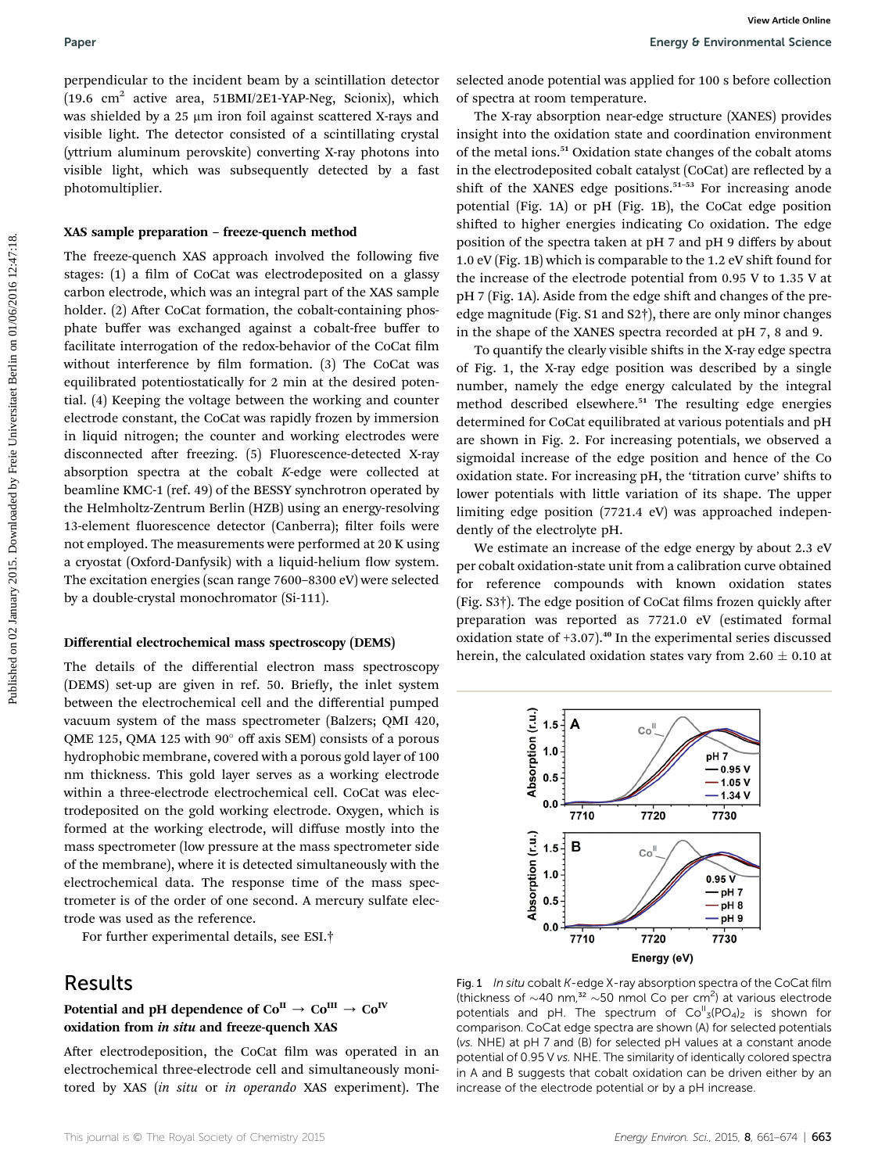perpendicular to the incident beam by a scintillation detector (19.6  $\text{cm}^2$  active area, 51BMI/2E1-YAP-Neg, Scionix), which was shielded by a 25 µm iron foil against scattered X-rays and visible light. The detector consisted of a scintillating crystal (yttrium aluminum perovskite) converting X-ray photons into visible light, which was subsequently detected by a fast photomultiplier.

#### XAS sample preparation – freeze-quench method

The freeze-quench XAS approach involved the following five stages: (1) a film of CoCat was electrodeposited on a glassy carbon electrode, which was an integral part of the XAS sample holder. (2) After CoCat formation, the cobalt-containing phosphate buffer was exchanged against a cobalt-free buffer to facilitate interrogation of the redox-behavior of the CoCat film without interference by film formation. (3) The CoCat was equilibrated potentiostatically for 2 min at the desired potential. (4) Keeping the voltage between the working and counter electrode constant, the CoCat was rapidly frozen by immersion in liquid nitrogen; the counter and working electrodes were disconnected after freezing. (5) Fluorescence-detected X-ray absorption spectra at the cobalt K-edge were collected at beamline KMC-1 (ref. 49) of the BESSY synchrotron operated by the Helmholtz-Zentrum Berlin (HZB) using an energy-resolving 13-element fluorescence detector (Canberra); filter foils were not employed. The measurements were performed at 20 K using a cryostat (Oxford-Danfysik) with a liquid-helium flow system. The excitation energies (scan range 7600–8300 eV) were selected by a double-crystal monochromator (Si-111). **Paper**<br> **Purporational terms** (**b** which was the controlled by a scintilation decrease and a potential was applied for 100 s before collection<br>
(1964 calculate the analysis (Secondar of specific the analysis (Secondar of

#### Differential electrochemical mass spectroscopy (DEMS)

The details of the differential electron mass spectroscopy (DEMS) set-up are given in ref. 50. Briefly, the inlet system between the electrochemical cell and the differential pumped vacuum system of the mass spectrometer (Balzers; QMI 420, QME 125, QMA 125 with  $90^{\circ}$  off axis SEM) consists of a porous hydrophobic membrane, covered with a porous gold layer of 100 nm thickness. This gold layer serves as a working electrode within a three-electrode electrochemical cell. CoCat was electrodeposited on the gold working electrode. Oxygen, which is formed at the working electrode, will diffuse mostly into the mass spectrometer (low pressure at the mass spectrometer side of the membrane), where it is detected simultaneously with the electrochemical data. The response time of the mass spectrometer is of the order of one second. A mercury sulfate electrode was used as the reference.

For further experimental details, see ESI.†

## Results

#### Potential and pH dependence of  $Co^{\text{II}} \rightarrow Co^{\text{III}} \rightarrow Co^{\text{IV}}$ oxidation from in situ and freeze-quench XAS

After electrodeposition, the CoCat film was operated in an electrochemical three-electrode cell and simultaneously monitored by XAS (in situ or in operando XAS experiment). The

selected anode potential was applied for 100 s before collection of spectra at room temperature.

The X-ray absorption near-edge structure (XANES) provides insight into the oxidation state and coordination environment of the metal ions.<sup>51</sup> Oxidation state changes of the cobalt atoms in the electrodeposited cobalt catalyst (CoCat) are reflected by a shift of the XANES edge positions.<sup>51-53</sup> For increasing anode potential (Fig. 1A) or pH (Fig. 1B), the CoCat edge position shifted to higher energies indicating Co oxidation. The edge position of the spectra taken at pH 7 and pH 9 differs by about 1.0 eV (Fig. 1B) which is comparable to the 1.2 eV shift found for the increase of the electrode potential from 0.95 V to 1.35 V at pH 7 (Fig. 1A). Aside from the edge shift and changes of the preedge magnitude (Fig. S1 and S2†), there are only minor changes in the shape of the XANES spectra recorded at pH 7, 8 and 9.

To quantify the clearly visible shifts in the X-ray edge spectra of Fig. 1, the X-ray edge position was described by a single number, namely the edge energy calculated by the integral method described elsewhere.<sup>51</sup> The resulting edge energies determined for CoCat equilibrated at various potentials and pH are shown in Fig. 2. For increasing potentials, we observed a sigmoidal increase of the edge position and hence of the Co oxidation state. For increasing pH, the 'titration curve' shifts to lower potentials with little variation of its shape. The upper limiting edge position (7721.4 eV) was approached independently of the electrolyte pH.

We estimate an increase of the edge energy by about 2.3 eV per cobalt oxidation-state unit from a calibration curve obtained for reference compounds with known oxidation states (Fig.  $S3\dagger$ ). The edge position of CoCat films frozen quickly after preparation was reported as 7721.0 eV (estimated formal oxidation state of  $+3.07$ ).<sup>40</sup> In the experimental series discussed herein, the calculated oxidation states vary from  $2.60 \pm 0.10$  at



Fig. 1 In situ cobalt K-edge X-ray absorption spectra of the CoCat film (thickness of  $\sim$ 40 nm,<sup>32</sup>  $\sim$ 50 nmol Co per cm<sup>2</sup>) at various electrode potentials and pH. The spectrum of  $Co^{\mathbb{I}}_{3}(PO_{4})_{2}$  is shown for comparison. CoCat edge spectra are shown (A) for selected potentials (vs. NHE) at pH 7 and (B) for selected pH values at a constant anode potential of 0.95 V vs. NHE. The similarity of identically colored spectra in A and B suggests that cobalt oxidation can be driven either by an increase of the electrode potential or by a pH increase.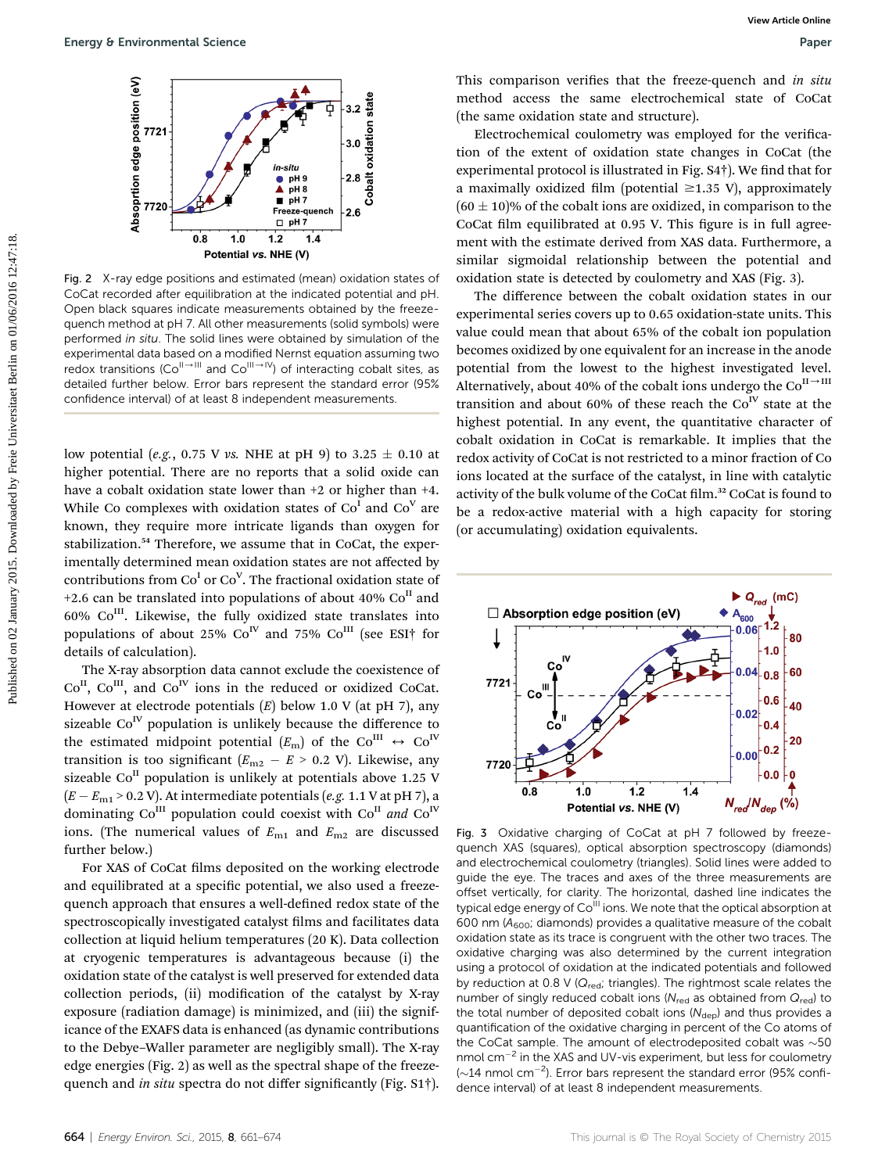

Fig. 2 X-ray edge positions and estimated (mean) oxidation states of CoCat recorded after equilibration at the indicated potential and pH. Open black squares indicate measurements obtained by the freezequench method at pH 7. All other measurements (solid symbols) were performed in situ. The solid lines were obtained by simulation of the experimental data based on a modified Nernst equation assuming two redox transitions (Co<sup>II-III</sup> and Co<sup>III-IV</sup>) of interacting cobalt sites, as detailed further below. Error bars represent the standard error (95% confidence interval) of at least 8 independent measurements.

low potential (e.g., 0.75 V vs. NHE at pH 9) to 3.25  $\pm$  0.10 at higher potential. There are no reports that a solid oxide can have a cobalt oxidation state lower than  $+2$  or higher than  $+4$ . While Co complexes with oxidation states of  $Co<sup>I</sup>$  and  $Co<sup>V</sup>$  are known, they require more intricate ligands than oxygen for stabilization.<sup>54</sup> Therefore, we assume that in CoCat, the experimentally determined mean oxidation states are not affected by contributions from  $Co<sup>I</sup>$  or  $Co<sup>V</sup>$ . The fractional oxidation state of +2.6 can be translated into populations of about 40%  $Co<sup>H</sup>$  and  $60\%$  Co<sup>III</sup>. Likewise, the fully oxidized state translates into populations of about 25%  $Co<sup>IV</sup>$  and 75%  $Co<sup>III</sup>$  (see ESI<sup>†</sup> for details of calculation).

The X-ray absorption data cannot exclude the coexistence of  $Co<sup>H</sup>$ ,  $Co<sup>H</sup>$ , and  $Co<sup>IV</sup>$  ions in the reduced or oxidized CoCat. However at electrode potentials  $(E)$  below 1.0 V (at pH 7), any sizeable  $Co<sup>IV</sup>$  population is unlikely because the difference to the estimated midpoint potential  $(E_m)$  of the Co<sup>III</sup>  $\leftrightarrow$  Co<sup>IV</sup> transition is too significant  $(E_{\text{m2}} - E > 0.2 \text{ V})$ . Likewise, any sizeable  $Co<sup>H</sup>$  population is unlikely at potentials above 1.25 V  $(E - E_{\text{m1}} > 0.2 \text{ V})$ . At intermediate potentials (*e.g.* 1.1 V at pH 7), a dominating  $Co^{III}$  population could coexist with  $Co^{II}$  and  $Co^{IV}$ ions. (The numerical values of  $E_{m1}$  and  $E_{m2}$  are discussed further below.)

For XAS of CoCat films deposited on the working electrode and equilibrated at a specific potential, we also used a freezequench approach that ensures a well-defined redox state of the spectroscopically investigated catalyst films and facilitates data collection at liquid helium temperatures (20 K). Data collection at cryogenic temperatures is advantageous because (i) the oxidation state of the catalyst is well preserved for extended data collection periods, (ii) modification of the catalyst by X-ray exposure (radiation damage) is minimized, and (iii) the significance of the EXAFS data is enhanced (as dynamic contributions to the Debye–Waller parameter are negligibly small). The X-ray edge energies (Fig. 2) as well as the spectral shape of the freezequench and in situ spectra do not differ significantly (Fig. S1<sup>†</sup>).

This comparison verifies that the freeze-quench and in situ method access the same electrochemical state of CoCat (the same oxidation state and structure).

Electrochemical coulometry was employed for the verification of the extent of oxidation state changes in CoCat (the experimental protocol is illustrated in Fig.  $S4\dagger$ ). We find that for a maximally oxidized film (potential  $\geq$ 1.35 V), approximately  $(60 \pm 10)\%$  of the cobalt ions are oxidized, in comparison to the CoCat film equilibrated at 0.95 V. This figure is in full agreement with the estimate derived from XAS data. Furthermore, a similar sigmoidal relationship between the potential and oxidation state is detected by coulometry and XAS (Fig. 3).

The difference between the cobalt oxidation states in our experimental series covers up to 0.65 oxidation-state units. This value could mean that about 65% of the cobalt ion population becomes oxidized by one equivalent for an increase in the anode potential from the lowest to the highest investigated level. Alternatively, about 40% of the cobalt ions undergo the  $Co<sup>H\rightarrow HI</sup>$ transition and about 60% of these reach the  $Co<sup>IV</sup>$  state at the highest potential. In any event, the quantitative character of cobalt oxidation in CoCat is remarkable. It implies that the redox activity of CoCat is not restricted to a minor fraction of Co ions located at the surface of the catalyst, in line with catalytic activity of the bulk volume of the CoCat film.<sup>32</sup> CoCat is found to be a redox-active material with a high capacity for storing (or accumulating) oxidation equivalents. **Example Environmental Science Contents contents and the second on the example of the second of the difference between the contents are effected by Free Universitation and the second of the effected by the difference be** 



Fig. 3 Oxidative charging of CoCat at pH 7 followed by freezequench XAS (squares), optical absorption spectroscopy (diamonds) and electrochemical coulometry (triangles). Solid lines were added to guide the eye. The traces and axes of the three measurements are offset vertically, for clarity. The horizontal, dashed line indicates the typical edge energy of Co<sup>III</sup> ions. We note that the optical absorption at 600 nm  $(A_{600}$ ; diamonds) provides a qualitative measure of the cobalt oxidation state as its trace is congruent with the other two traces. The oxidative charging was also determined by the current integration using a protocol of oxidation at the indicated potentials and followed by reduction at 0.8 V ( $Q_{\text{red}}$ ; triangles). The rightmost scale relates the number of singly reduced cobalt ions ( $N_{\text{red}}$  as obtained from  $Q_{\text{red}}$ ) to the total number of deposited cobalt ions  $(N_{\text{dep}})$  and thus provides a quantification of the oxidative charging in percent of the Co atoms of the CoCat sample. The amount of electrodeposited cobalt was  $\sim$ 50 nmol cm<sup>-2</sup> in the XAS and UV-vis experiment, but less for coulometry  $(\sim]14$  nmol cm<sup>-2</sup>). Error bars represent the standard error (95% confidence interval) of at least 8 independent measurements.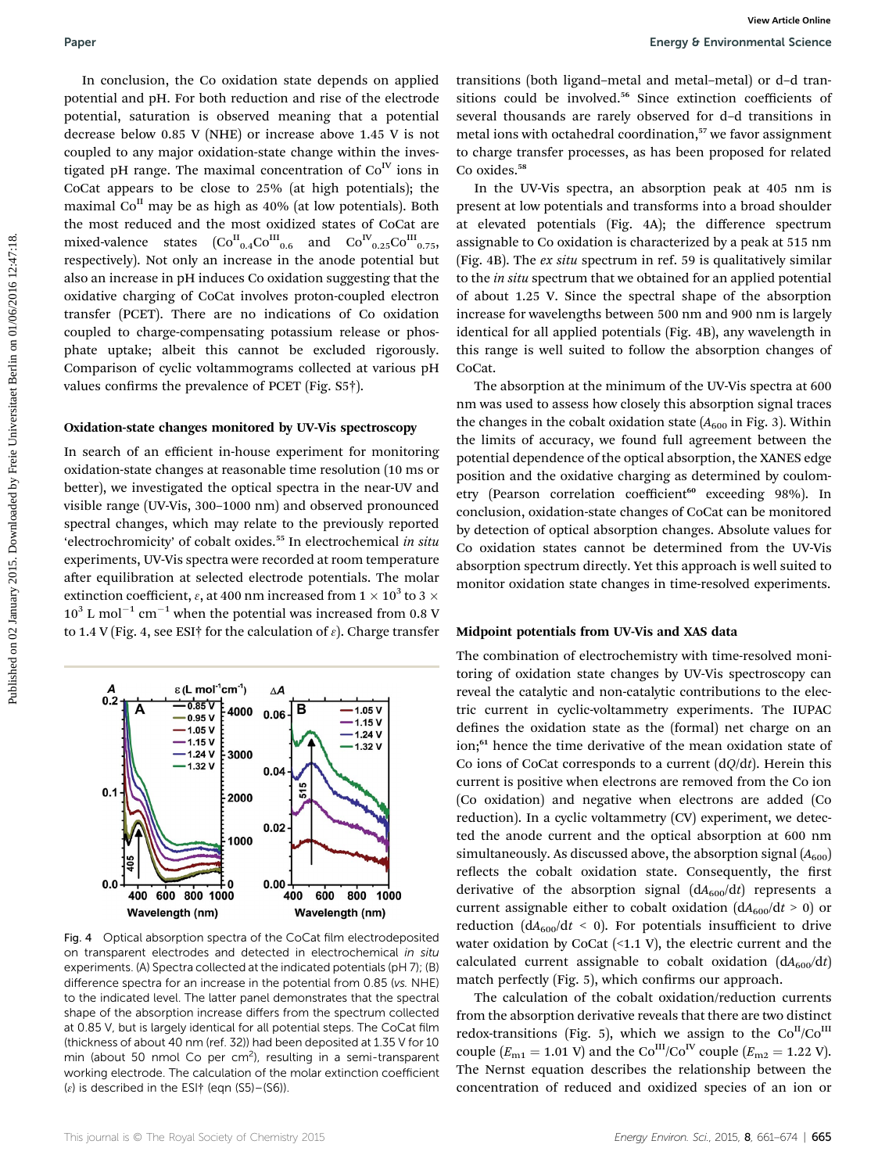In conclusion, the Co oxidation state depends on applied potential and pH. For both reduction and rise of the electrode potential, saturation is observed meaning that a potential decrease below 0.85 V (NHE) or increase above 1.45 V is not coupled to any major oxidation-state change within the investigated pH range. The maximal concentration of  $Co<sup>IV</sup>$  ions in CoCat appears to be close to 25% (at high potentials); the maximal  $Co<sup>H</sup>$  may be as high as 40% (at low potentials). Both the most reduced and the most oxidized states of CoCat are mixed-valence states  ${(\mathrm{Co}^{\mathrm{II}}_{0.4}\mathrm{Co}^{\mathrm{III}}_{0.6}\ \ \text{and} \ \ \mathrm{Co}^{\mathrm{IV}}_{0.25}\mathrm{Co}^{\mathrm{III}}_{0.75},}$ respectively). Not only an increase in the anode potential but also an increase in pH induces Co oxidation suggesting that the oxidative charging of CoCat involves proton-coupled electron transfer (PCET). There are no indications of Co oxidation coupled to charge-compensating potassium release or phosphate uptake; albeit this cannot be excluded rigorously. Comparison of cyclic voltammograms collected at various pH values confirms the prevalence of PCET (Fig.  $S5\dagger$ ). **Paper**<br>
In conclusion, the Co osidation state depends on applied transitions (both ligand-metal and metal and the control of ded transitions (and in the definite metal on ded transitions (and in the model of the control

#### Oxidation-state changes monitored by UV-Vis spectroscopy

In search of an efficient in-house experiment for monitoring oxidation-state changes at reasonable time resolution (10 ms or better), we investigated the optical spectra in the near-UV and visible range (UV-Vis, 300–1000 nm) and observed pronounced spectral changes, which may relate to the previously reported 'electrochromicity' of cobalt oxides.<sup>55</sup> In electrochemical in situ experiments, UV-Vis spectra were recorded at room temperature after equilibration at selected electrode potentials. The molar extinction coefficient,  $\varepsilon$ , at 400 nm increased from 1  $\times$  10<sup>3</sup> to 3  $\times$  $10^3$  L mol<sup>-1</sup> cm<sup>-1</sup> when the potential was increased from 0.8 V to 1.4 V (Fig. 4, see ESI† for the calculation of  $\varepsilon$ ). Charge transfer



Fig. 4 Optical absorption spectra of the CoCat film electrodeposited on transparent electrodes and detected in electrochemical in situ experiments. (A) Spectra collected at the indicated potentials (pH 7); (B) difference spectra for an increase in the potential from 0.85 (vs. NHE) to the indicated level. The latter panel demonstrates that the spectral shape of the absorption increase differs from the spectrum collected at 0.85 V, but is largely identical for all potential steps. The CoCat film (thickness of about 40 nm (ref. 32)) had been deposited at 1.35 V for 10 min (about 50 nmol Co per cm<sup>2</sup>), resulting in a semi-transparent working electrode. The calculation of the molar extinction coefficient ( $\varepsilon$ ) is described in the ESI $\dagger$  (eqn (S5)–(S6)).

transitions (both ligand–metal and metal–metal) or d–d transitions could be involved.<sup>56</sup> Since extinction coefficients of several thousands are rarely observed for d–d transitions in metal ions with octahedral coordination,<sup>57</sup> we favor assignment to charge transfer processes, as has been proposed for related Co oxides.<sup>58</sup>

In the UV-Vis spectra, an absorption peak at 405 nm is present at low potentials and transforms into a broad shoulder at elevated potentials (Fig. 4A); the difference spectrum assignable to Co oxidation is characterized by a peak at 515 nm (Fig. 4B). The ex situ spectrum in ref. 59 is qualitatively similar to the *in situ* spectrum that we obtained for an applied potential of about 1.25 V. Since the spectral shape of the absorption increase for wavelengths between 500 nm and 900 nm is largely identical for all applied potentials (Fig. 4B), any wavelength in this range is well suited to follow the absorption changes of CoCat.

The absorption at the minimum of the UV-Vis spectra at 600 nm was used to assess how closely this absorption signal traces the changes in the cobalt oxidation state  $(A_{600})$  in Fig. 3). Within the limits of accuracy, we found full agreement between the potential dependence of the optical absorption, the XANES edge position and the oxidative charging as determined by coulometry (Pearson correlation coefficient<sup>60</sup> exceeding 98%). In conclusion, oxidation-state changes of CoCat can be monitored by detection of optical absorption changes. Absolute values for Co oxidation states cannot be determined from the UV-Vis absorption spectrum directly. Yet this approach is well suited to monitor oxidation state changes in time-resolved experiments.

#### Midpoint potentials from UV-Vis and XAS data

The combination of electrochemistry with time-resolved monitoring of oxidation state changes by UV-Vis spectroscopy can reveal the catalytic and non-catalytic contributions to the electric current in cyclic-voltammetry experiments. The IUPAC defines the oxidation state as the (formal) net charge on an ion;<sup>61</sup> hence the time derivative of the mean oxidation state of Co ions of CoCat corresponds to a current  $(dQ/dt)$ . Herein this current is positive when electrons are removed from the Co ion (Co oxidation) and negative when electrons are added (Co reduction). In a cyclic voltammetry (CV) experiment, we detected the anode current and the optical absorption at 600 nm simultaneously. As discussed above, the absorption signal  $(A_{600})$ reflects the cobalt oxidation state. Consequently, the first derivative of the absorption signal  $(dA<sub>600</sub>/dt)$  represents a current assignable either to cobalt oxidation  $(dA<sub>600</sub>/dt > 0)$  or reduction ( $dA_{600}/dt \le 0$ ). For potentials insufficient to drive water oxidation by CoCat  $($ <1.1 V $)$ , the electric current and the calculated current assignable to cobalt oxidation  $(dA_{600}/dt)$ match perfectly (Fig. 5), which confirms our approach.

The calculation of the cobalt oxidation/reduction currents from the absorption derivative reveals that there are two distinct redox-transitions (Fig. 5), which we assign to the  $Co<sup>H</sup>/Co<sup>H</sup>$ couple  $(E_{m1} = 1.01 \text{ V})$  and the Co<sup>III</sup>/Co<sup>IV</sup> couple  $(E_{m2} = 1.22 \text{ V})$ . The Nernst equation describes the relationship between the concentration of reduced and oxidized species of an ion or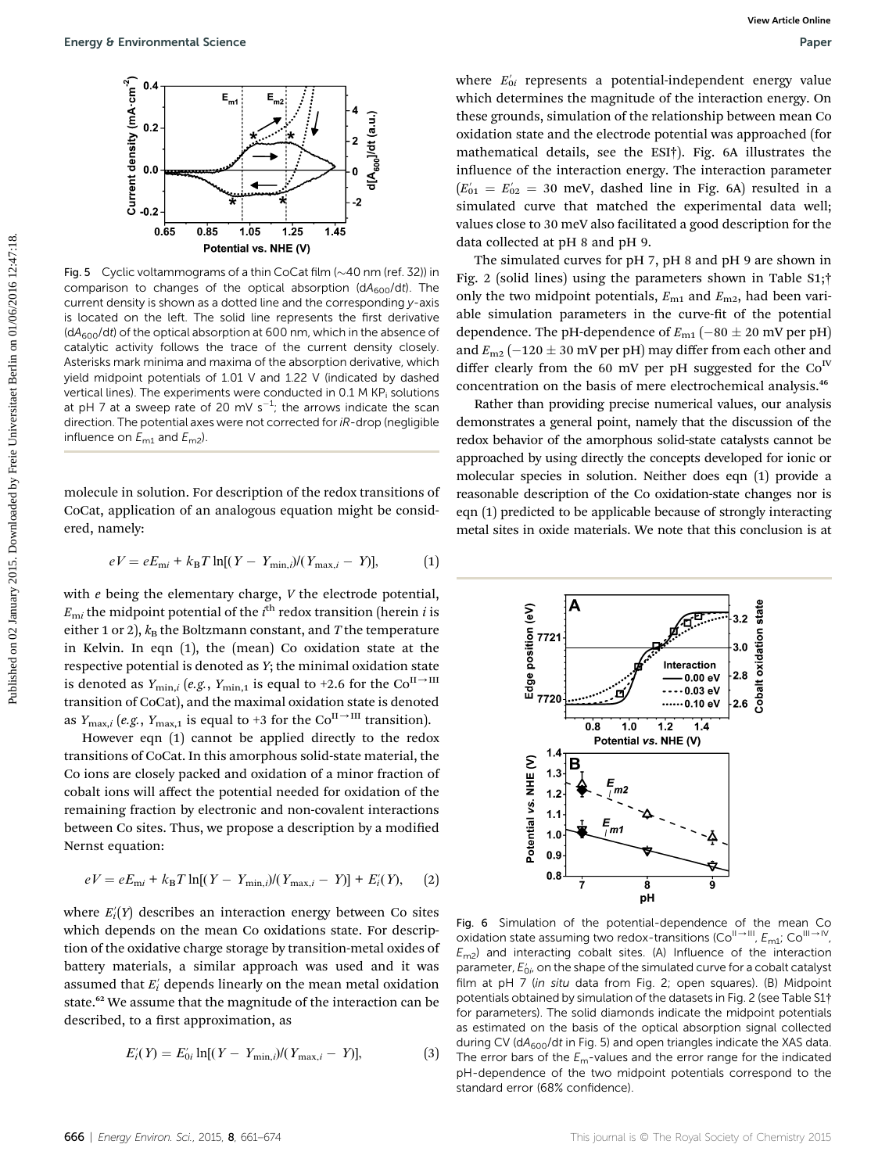

Fig. 5 Cyclic voltammograms of a thin CoCat film  $(\sim 40$  nm (ref. 32)) in comparison to changes of the optical absorption  $(dA<sub>600</sub>/dt)$ . The current density is shown as a dotted line and the corresponding y-axis is located on the left. The solid line represents the first derivative  $(dA<sub>600</sub>/dt)$  of the optical absorption at 600 nm, which in the absence of catalytic activity follows the trace of the current density closely. Asterisks mark minima and maxima of the absorption derivative, which yield midpoint potentials of 1.01 V and 1.22 V (indicated by dashed vertical lines). The experiments were conducted in  $0.1$  M KP<sub>i</sub> solutions at pH 7 at a sweep rate of 20 mV s<sup>-1</sup>; the arrows indicate the scan direction. The potential axes were not corrected for iR-drop (negligible influence on  $E_{m1}$  and  $E_{m2}$ ).

molecule in solution. For description of the redox transitions of CoCat, application of an analogous equation might be considered, namely:

$$
eV = eE_{\rm mi} + k_{\rm B}T \ln[(Y - Y_{\rm min,i})/(Y_{\rm max,i} - Y)], \tag{1}
$$

with  $e$  being the elementary charge,  $V$  the electrode potential,  $E_{\mathrm{m}i}$  the midpoint potential of the  $i^{\mathrm{th}}$  redox transition (herein  $i$  is either 1 or 2),  $k_B$  the Boltzmann constant, and T the temperature in Kelvin. In eqn (1), the (mean) Co oxidation state at the respective potential is denoted as Y; the minimal oxidation state is denoted as  $Y_{\text{min},i}$  (e.g.,  $Y_{\text{min},1}$  is equal to +2.6 for the Co<sup>II  $\rightarrow$ III</sup> transition of CoCat), and the maximal oxidation state is denoted as  $Y_{\text{max},i}$  (e.g.,  $Y_{\text{max},1}$  is equal to +3 for the Co<sup>II  $\rightarrow$ III</sup> transition).

However eqn (1) cannot be applied directly to the redox transitions of CoCat. In this amorphous solid-state material, the Co ions are closely packed and oxidation of a minor fraction of cobalt ions will affect the potential needed for oxidation of the remaining fraction by electronic and non-covalent interactions between Co sites. Thus, we propose a description by a modified Nernst equation:

$$
eV = eE_{\rm m} + k_{\rm B}T \ln[(Y - Y_{\rm min,i})/(Y_{\rm max,i} - Y)] + E_i'(Y), \quad (2)
$$

where  $E_i^{\prime} (Y)$  describes an interaction energy between Co sites which depends on the mean Co oxidations state. For description of the oxidative charge storage by transition-metal oxides of battery materials, a similar approach was used and it was assumed that  $E'_i$  depends linearly on the mean metal oxidation state.<sup>62</sup> We assume that the magnitude of the interaction can be described, to a first approximation, as

$$
E'_{i}(Y) = E'_{0i} \ln[(Y - Y_{\min,i})/(Y_{\max,i} - Y)], \tag{3}
$$

where  $E_{0i}'$  represents a potential-independent energy value which determines the magnitude of the interaction energy. On these grounds, simulation of the relationship between mean Co oxidation state and the electrode potential was approached (for mathematical details, see the ESI†). Fig. 6A illustrates the influence of the interaction energy. The interaction parameter  $(E'_{01} = E'_{02} = 30$  meV, dashed line in Fig. 6A) resulted in a simulated curve that matched the experimental data well; values close to 30 meV also facilitated a good description for the data collected at pH 8 and pH 9. **Example Environmental Science**<br>
For  $\frac{1}{2}$  and the contrast and the published on the published by Freie University of the control of the interaction particle of the interaction particle of the interaction particle of

The simulated curves for pH 7, pH 8 and pH 9 are shown in Fig. 2 (solid lines) using the parameters shown in Table S1;† only the two midpoint potentials,  $E_{m1}$  and  $E_{m2}$ , had been variable simulation parameters in the curve-fit of the potential dependence. The pH-dependence of  $E_{\rm m1}$  ( $-80\pm20$  mV per pH) and  $E_{\text{m2}}$  (-120  $\pm$  30 mV per pH) may differ from each other and differ clearly from the 60 mV per pH suggested for the  $Co<sup>IV</sup>$ concentration on the basis of mere electrochemical analysis.<sup>46</sup>

Rather than providing precise numerical values, our analysis demonstrates a general point, namely that the discussion of the redox behavior of the amorphous solid-state catalysts cannot be approached by using directly the concepts developed for ionic or molecular species in solution. Neither does eqn (1) provide a reasonable description of the Co oxidation-state changes nor is eqn (1) predicted to be applicable because of strongly interacting metal sites in oxide materials. We note that this conclusion is at



Fig. 6 Simulation of the potential-dependence of the mean Co oxidation state assuming two redox-transitions (Co<sup>II-III</sup>,  $E_{\text{m1}}$ ; Co<sup>III-IV</sup>  $E_{\text{m2}}$ ) and interacting cobalt sites. (A) Influence of the interaction parameter,  $E'_{0i}$ , on the shape of the simulated curve for a cobalt catalyst<br>film at pH 7 (in situ data from Fig. 2), open squares). (B) Midpoint film at pH 7 (in situ data from Fig. 2; open squares). (B) Midpoint potentials obtained by simulation of the datasets in Fig. 2 (see Table S1† for parameters). The solid diamonds indicate the midpoint potentials as estimated on the basis of the optical absorption signal collected during CV ( $dA_{600}/dt$  in Fig. 5) and open triangles indicate the XAS data. The error bars of the  $E_m$ -values and the error range for the indicated pH-dependence of the two midpoint potentials correspond to the standard error (68% confidence).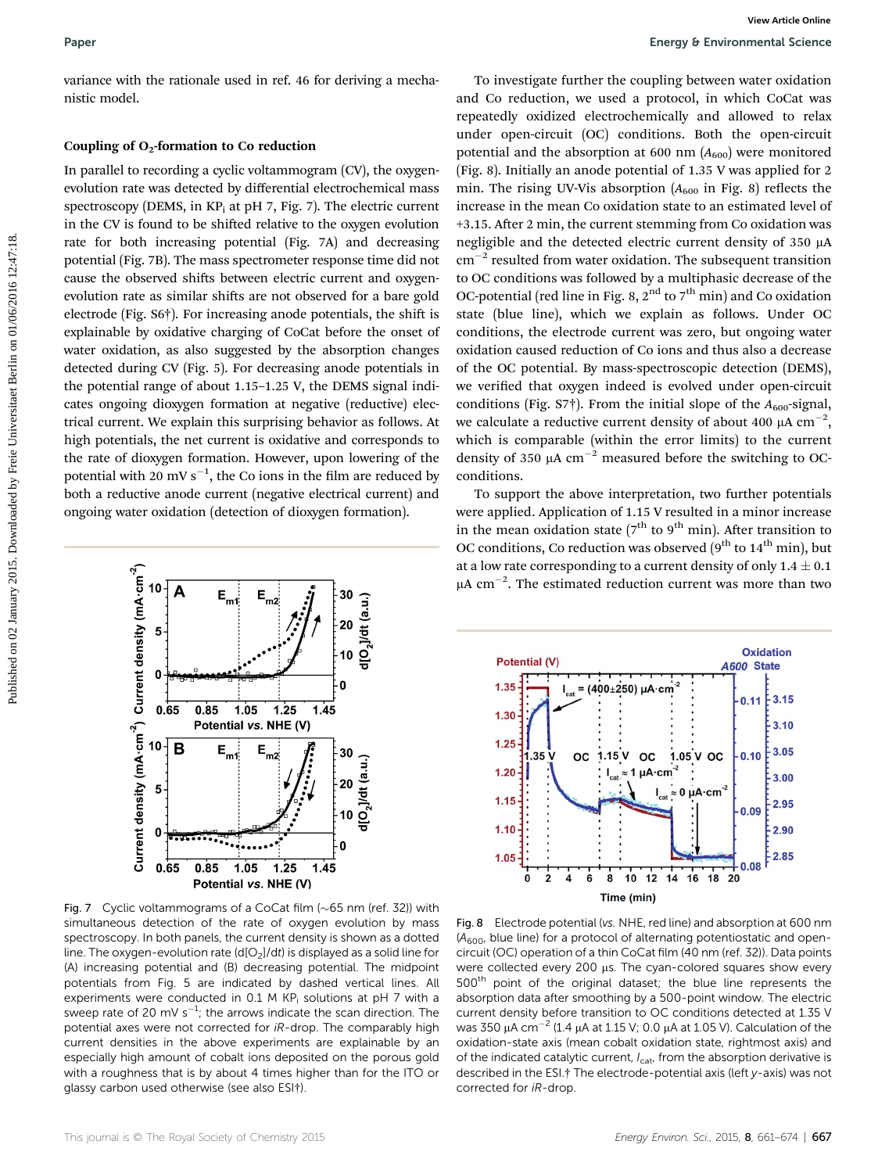variance with the rationale used in ref. 46 for deriving a mechanistic model.

#### Coupling of  $O_2$ -formation to Co reduction

In parallel to recording a cyclic voltammogram (CV), the oxygenevolution rate was detected by differential electrochemical mass spectroscopy (DEMS, in  $KP_i$  at pH 7, Fig. 7). The electric current in the CV is found to be shifted relative to the oxygen evolution rate for both increasing potential (Fig. 7A) and decreasing potential (Fig. 7B). The mass spectrometer response time did not cause the observed shifts between electric current and oxygenevolution rate as similar shifts are not observed for a bare gold electrode (Fig. S6†). For increasing anode potentials, the shift is explainable by oxidative charging of CoCat before the onset of water oxidation, as also suggested by the absorption changes detected during CV (Fig. 5). For decreasing anode potentials in the potential range of about 1.15–1.25 V, the DEMS signal indicates ongoing dioxygen formation at negative (reductive) electrical current. We explain this surprising behavior as follows. At high potentials, the net current is oxidative and corresponds to the rate of dioxygen formation. However, upon lowering of the potential with 20 mV  $s^{-1}$ , the Co ions in the film are reduced by both a reductive anode current (negative electrical current) and ongoing water oxidation (detection of dioxygen formation).



Fig. 7 Cyclic voltammograms of a CoCat film  $(\sim 65$  nm (ref. 32)) with simultaneous detection of the rate of oxygen evolution by mass spectroscopy. In both panels, the current density is shown as a dotted line. The oxygen-evolution rate (d[O<sub>2</sub>]/dt) is displayed as a solid line for (A) increasing potential and (B) decreasing potential. The midpoint potentials from Fig. 5 are indicated by dashed vertical lines. All experiments were conducted in 0.1 M KP<sub>i</sub> solutions at pH 7 with a sweep rate of 20 mV s<sup>-1</sup>; the arrows indicate the scan direction. The potential axes were not corrected for iR-drop. The comparably high current densities in the above experiments are explainable by an especially high amount of cobalt ions deposited on the porous gold with a roughness that is by about 4 times higher than for the ITO or glassy carbon used otherwise (see also ESI†).

To investigate further the coupling between water oxidation and Co reduction, we used a protocol, in which CoCat was repeatedly oxidized electrochemically and allowed to relax under open-circuit (OC) conditions. Both the open-circuit potential and the absorption at 600 nm  $(A<sub>600</sub>)$  were monitored (Fig. 8). Initially an anode potential of 1.35 V was applied for 2 min. The rising UV-Vis absorption  $(A_{600}$  in Fig. 8) reflects the increase in the mean Co oxidation state to an estimated level of +3.15. After 2 min, the current stemming from Co oxidation was negligible and the detected electric current density of  $350 \mu A$  $\text{cm}^{-2}$  resulted from water oxidation. The subsequent transition to OC conditions was followed by a multiphasic decrease of the OC-potential (red line in Fig. 8,  $2<sup>nd</sup>$  to  $7<sup>th</sup>$  min) and Co oxidation state (blue line), which we explain as follows. Under OC conditions, the electrode current was zero, but ongoing water oxidation caused reduction of Co ions and thus also a decrease of the OC potential. By mass-spectroscopic detection (DEMS), we verified that oxygen indeed is evolved under open-circuit conditions (Fig.  $57\dagger$ ). From the initial slope of the  $A_{600}$ -signal, we calculate a reductive current density of about 400  $\mu$ A cm $^{-2},$ which is comparable (within the error limits) to the current density of 350  $\mu$ A cm<sup>-2</sup> measured before the switching to OCconditions. **Paper**<br> **Example 2018**<br> **Example 2018 Constrained by the constrained by the constrained by Freienmann Science<br>
<b>Example 2018 Constrained Berlin on O reduction**<br> **Example 2018 Constrained by Constrained Berlin on Constrai** 

To support the above interpretation, two further potentials were applied. Application of 1.15 V resulted in a minor increase in the mean oxidation state ( $7<sup>th</sup>$  to  $9<sup>th</sup>$  min). After transition to OC conditions, Co reduction was observed  $(9^{th}$  to  $14^{th}$  min), but at a low rate corresponding to a current density of only  $1.4 \pm 0.1$  $\mu$ A cm<sup>-2</sup>. The estimated reduction current was more than two



Fig. 8 Electrode potential (vs. NHE, red line) and absorption at 600 nm  $(A<sub>600</sub>, blue line)$  for a protocol of alternating potentiostatic and opencircuit (OC) operation of a thin CoCat film (40 nm (ref. 32)). Data points were collected every 200 µs. The cyan-colored squares show every 500th point of the original dataset; the blue line represents the absorption data after smoothing by a 500-point window. The electric current density before transition to OC conditions detected at 1.35 V was 350  $\mu$ A cm $^{-2}$  (1.4  $\mu$ A at 1.15 V; 0.0  $\mu$ A at 1.05 V). Calculation of the oxidation-state axis (mean cobalt oxidation state, rightmost axis) and of the indicated catalytic current,  $I_{\text{cat}}$ , from the absorption derivative is described in the ESI.† The electrode-potential axis (left y-axis) was not corrected for iR-drop.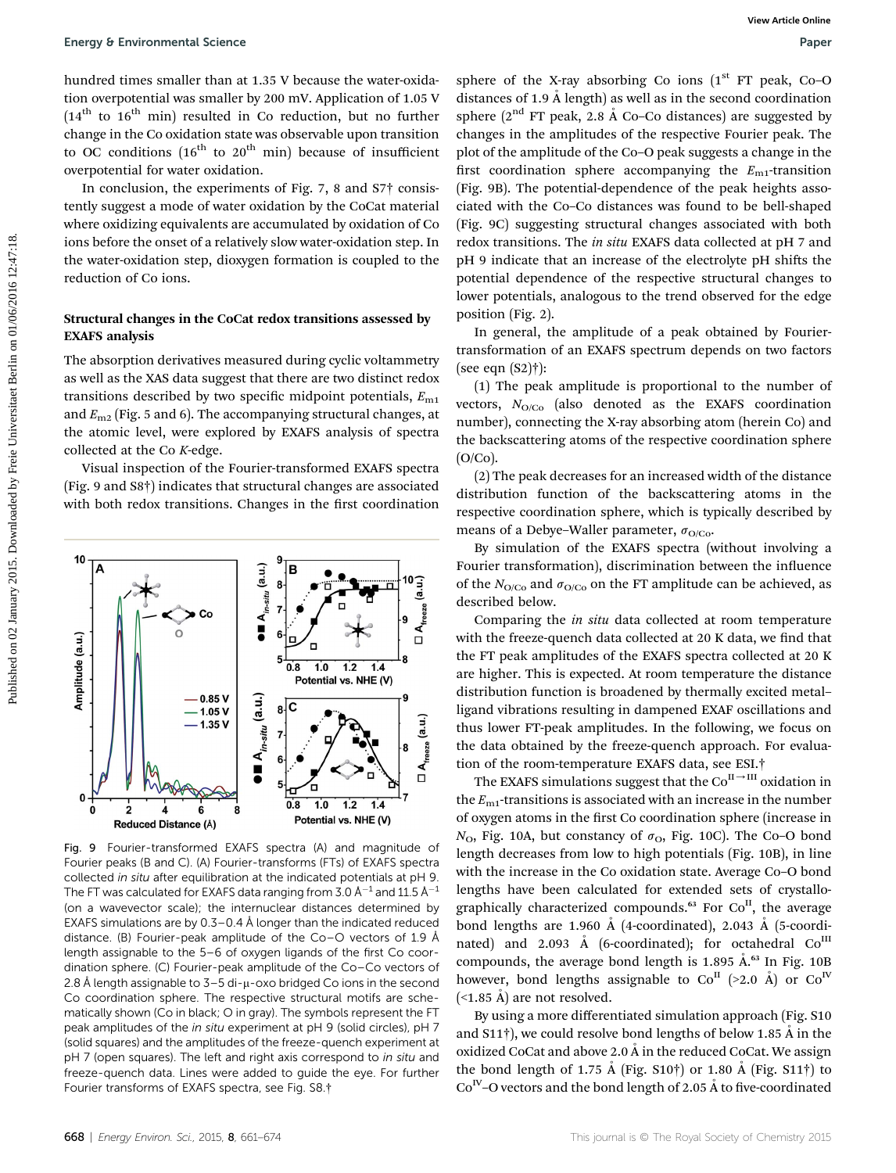hundred times smaller than at 1.35 V because the water-oxidation overpotential was smaller by 200 mV. Application of 1.05 V  $(14<sup>th</sup>$  to  $16<sup>th</sup>$  min) resulted in Co reduction, but no further change in the Co oxidation state was observable upon transition to OC conditions  $(16<sup>th</sup>$  to  $20<sup>th</sup>$  min) because of insufficient overpotential for water oxidation.

In conclusion, the experiments of Fig. 7, 8 and S7† consistently suggest a mode of water oxidation by the CoCat material where oxidizing equivalents are accumulated by oxidation of Co ions before the onset of a relatively slow water-oxidation step. In the water-oxidation step, dioxygen formation is coupled to the reduction of Co ions.

#### Structural changes in the CoCat redox transitions assessed by EXAFS analysis

The absorption derivatives measured during cyclic voltammetry as well as the XAS data suggest that there are two distinct redox transitions described by two specific midpoint potentials,  $E_{\text{m1}}$ and  $E_{\text{m2}}$  (Fig. 5 and 6). The accompanying structural changes, at the atomic level, were explored by EXAFS analysis of spectra collected at the Co K-edge.

Visual inspection of the Fourier-transformed EXAFS spectra (Fig. 9 and S8†) indicates that structural changes are associated with both redox transitions. Changes in the first coordination

Fig. 9 Fourier-transformed EXAFS spectra (A) and magnitude of Fourier peaks (B and C). (A) Fourier-transforms (FTs) of EXAFS spectra collected in situ after equilibration at the indicated potentials at pH 9. The FT was calculated for EXAFS data ranging from 3.0 Å $^{-1}$  and 11.5 Å $^{-1}$ (on a wavevector scale); the internuclear distances determined by EXAFS simulations are by  $0.3-0.4$  Å longer than the indicated reduced distance. (B) Fourier-peak amplitude of the Co–O vectors of 1.9 Å length assignable to the 5–6 of oxygen ligands of the first Co coordination sphere. (C) Fourier-peak amplitude of the Co–Co vectors of 2.8 Å length assignable to  $3-5$  di- $\mu$ -oxo bridged Co ions in the second Co coordination sphere. The respective structural motifs are schematically shown (Co in black; O in gray). The symbols represent the FT peak amplitudes of the in situ experiment at pH 9 (solid circles), pH 7 (solid squares) and the amplitudes of the freeze-quench experiment at pH 7 (open squares). The left and right axis correspond to in situ and

freeze-quench data. Lines were added to guide the eye. For further

sphere of the X-ray absorbing Co ions  $(1<sup>st</sup> FT peak, Co-O)$ distances of 1.9  $\AA$  length) as well as in the second coordination sphere ( $2<sup>nd</sup>$  FT peak, 2.8 Å Co-Co distances) are suggested by changes in the amplitudes of the respective Fourier peak. The plot of the amplitude of the Co–O peak suggests a change in the first coordination sphere accompanying the  $E_{\text{m1}}$ -transition (Fig. 9B). The potential-dependence of the peak heights associated with the Co–Co distances was found to be bell-shaped (Fig. 9C) suggesting structural changes associated with both redox transitions. The in situ EXAFS data collected at pH 7 and pH 9 indicate that an increase of the electrolyte pH shifts the potential dependence of the respective structural changes to lower potentials, analogous to the trend observed for the edge position (Fig. 2). Fuergy 8 Environmental Science<br>
hundred times manifer than it 1.3.2 v because the varier order is photo distribution of the NEW science of Parkinghala sceles look (<sup>2)</sup> Free public controllation and solve distribution of

In general, the amplitude of a peak obtained by Fouriertransformation of an EXAFS spectrum depends on two factors (see eqn (S2)†):

(1) The peak amplitude is proportional to the number of vectors,  $N_{O/C<sub>0</sub>}$  (also denoted as the EXAFS coordination number), connecting the X-ray absorbing atom (herein Co) and the backscattering atoms of the respective coordination sphere (O/Co).

(2) The peak decreases for an increased width of the distance distribution function of the backscattering atoms in the respective coordination sphere, which is typically described by means of a Debye–Waller parameter,  $\sigma_{O/Co}$ .

By simulation of the EXAFS spectra (without involving a Fourier transformation), discrimination between the influence of the  $N_{\text{O/Co}}$  and  $\sigma_{\text{O/Co}}$  on the FT amplitude can be achieved, as described below.

Comparing the in situ data collected at room temperature with the freeze-quench data collected at 20 K data, we find that the FT peak amplitudes of the EXAFS spectra collected at 20 K are higher. This is expected. At room temperature the distance distribution function is broadened by thermally excited metal– ligand vibrations resulting in dampened EXAF oscillations and thus lower FT-peak amplitudes. In the following, we focus on the data obtained by the freeze-quench approach. For evaluation of the room-temperature EXAFS data, see ESI.†

The EXAFS simulations suggest that the  $\mathrm{Co}^{\mathrm{II}\rightarrow\mathrm{III}}$  oxidation in the  $E_{\text{m1}}$ -transitions is associated with an increase in the number of oxygen atoms in the first Co coordination sphere (increase in  $N_{\text{O}}$ , Fig. 10A, but constancy of  $\sigma_{\text{O}}$ , Fig. 10C). The Co–O bond length decreases from low to high potentials (Fig. 10B), in line with the increase in the Co oxidation state. Average Co–O bond lengths have been calculated for extended sets of crystallographically characterized compounds.<sup>63</sup> For Co<sup>II</sup>, the average bond lengths are 1.960 Å (4-coordinated), 2.043 Å (5-coordinated) and 2.093 Å (6-coordinated); for octahedral  $Co<sup>III</sup>$ compounds, the average bond length is  $1.895 \text{ Å}^{\text{63}}$  In Fig.  $10B$ however, bond lengths assignable to  $Co<sup>H</sup>$  (>2.0 Å) or  $Co<sup>IV</sup>$  $(\leq1.85 \text{ Å})$  are not resolved.

By using a more differentiated simulation approach (Fig. S10 and S11 $\dagger$ ), we could resolve bond lengths of below 1.85 Å in the oxidized CoCat and above 2.0  $\AA$  in the reduced CoCat. We assign the bond length of 1.75 Å (Fig. S10†) or 1.80 Å (Fig. S11†) to  $Co<sup>N</sup>$ –O vectors and the bond length of 2.05 Å to five-coordinated



Fourier transforms of EXAFS spectra, see Fig. S8.†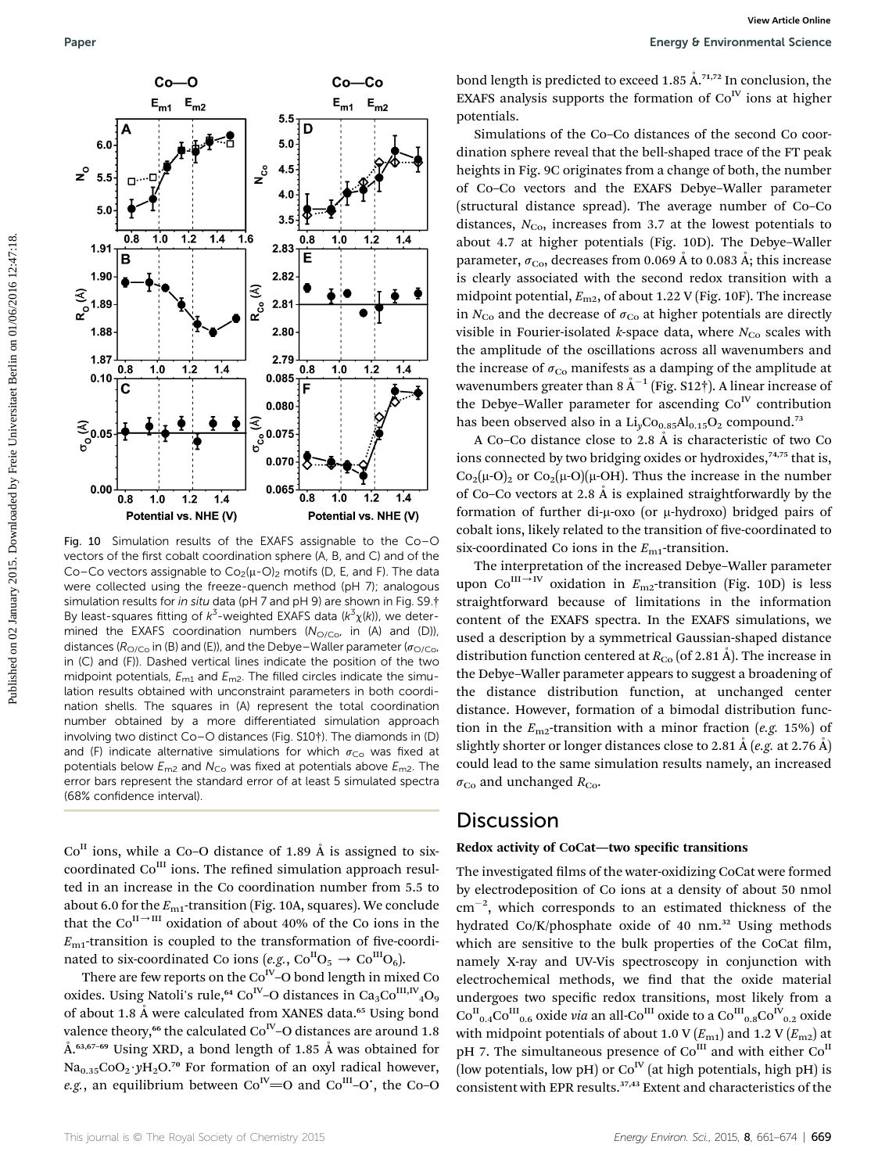

Fig. 10 Simulation results of the EXAFS assignable to the Co–O vectors of the first cobalt coordination sphere (A, B, and C) and of the Co–Co vectors assignable to  $Co_2(\mu-O)_2$  motifs (D, E, and F). The data were collected using the freeze-quench method (pH 7); analogous simulation results for in situ data (pH 7 and pH 9) are shown in Fig. S9.† By least-squares fitting of  $k^3$ -weighted EXAFS data ( $k^3 \chi(k)$ ), we deter-<br>mined, the EXAES, coordination, numbers ( $N_{\text{max}}$ , in (A), and (D)) mined the EXAFS coordination numbers  $(N<sub>O/CO</sub>)$ , in (A) and (D)), distances ( $R_{\text{O/C}_0}$  in (B) and (E)), and the Debye–Waller parameter ( $\sigma_{\text{O/C}_0}$ , in (C) and (F)). Dashed vertical lines indicate the position of the two midpoint potentials,  $E_{m1}$  and  $E_{m2}$ . The filled circles indicate the simulation results obtained with unconstraint parameters in both coordination shells. The squares in (A) represent the total coordination number obtained by a more differentiated simulation approach involving two distinct Co–O distances (Fig. S10†). The diamonds in (D) and (F) indicate alternative simulations for which  $\sigma_{\text{Co}}$  was fixed at potentials below  $E_{m2}$  and  $N_{Co}$  was fixed at potentials above  $E_{m2}$ . The error bars represent the standard error of at least 5 simulated spectra (68% confidence interval).

 $Co<sup>H</sup>$  ions, while a Co–O distance of 1.89 Å is assigned to sixcoordinated  $Co<sup>III</sup>$  ions. The refined simulation approach resulted in an increase in the Co coordination number from 5.5 to about 6.0 for the  $E_{\text{m1}}$ -transition (Fig. 10A, squares). We conclude that the  $Co^{II\rightarrow III}$  oxidation of about 40% of the Co ions in the  $E_{\text{m1}}$ -transition is coupled to the transformation of five-coordinated to six-coordinated Co ions (e.g.,  $Co^{II}O_5 \rightarrow Co^{III}O_6$ ).

There are few reports on the  $Co<sup>IV</sup>-O$  bond length in mixed Co oxides. Using Natoli's rule,<sup>64</sup> Co<sup>IV</sup>–O distances in Ca<sub>3</sub>Co<sup>III,IV</sup><sub>4</sub>O<sub>9</sub> of about 1.8 Å were calculated from XANES data.<sup>65</sup> Using bond valence theory,<sup>66</sup> the calculated Co<sup>IV</sup>-O distances are around 1.8  $A^{63,67-69}$  Using XRD, a bond length of 1.85 Å was obtained for  $Na<sub>0.35</sub>CoO<sub>2</sub>·yH<sub>2</sub>O<sup>70</sup>$  For formation of an oxyl radical however, e.g., an equilibrium between  $Co<sup>N</sup>=O$  and  $Co<sup>III</sup>-O'$ , the Co–O

bond length is predicted to exceed 1.85  $\AA$ <sup>71,72</sup> In conclusion, the EXAFS analysis supports the formation of  $Co<sup>IV</sup>$  ions at higher potentials.

Simulations of the Co–Co distances of the second Co coordination sphere reveal that the bell-shaped trace of the FT peak heights in Fig. 9C originates from a change of both, the number of Co–Co vectors and the EXAFS Debye–Waller parameter (structural distance spread). The average number of Co–Co distances,  $N_{Co}$ , increases from 3.7 at the lowest potentials to about 4.7 at higher potentials (Fig. 10D). The Debye–Waller parameter,  $\sigma_{\text{Co}}$ , decreases from 0.069 Å to 0.083 Å; this increase is clearly associated with the second redox transition with a midpoint potential,  $E_{\text{m2}}$ , of about 1.22 V (Fig. 10F). The increase in  $N_{\text{Co}}$  and the decrease of  $\sigma_{\text{Co}}$  at higher potentials are directly visible in Fourier-isolated *k*-space data, where  $N_{\text{Co}}$  scales with the amplitude of the oscillations across all wavenumbers and the increase of  $\sigma_{Co}$  manifests as a damping of the amplitude at wavenumbers greater than 8  $\rm \AA^{-1}$  (Fig. S12†). A linear increase of the Debye–Waller parameter for ascending  $Co<sup>IV</sup>$  contribution has been observed also in a  $Li<sub>v</sub>Co<sub>0.85</sub>Al<sub>0.15</sub>O<sub>2</sub>$  compound.<sup>73</sup>

A Co–Co distance close to 2.8  $Å$  is characteristic of two Co ions connected by two bridging oxides or hydroxides,<sup>74,75</sup> that is,  $Co_2(\mu-O)_2$  or  $Co_2(\mu-O)(\mu-OH)$ . Thus the increase in the number of Co–Co vectors at 2.8  $\AA$  is explained straightforwardly by the formation of further di- $\mu$ -oxo (or  $\mu$ -hydroxo) bridged pairs of cobalt ions, likely related to the transition of five-coordinated to six-coordinated Co ions in the  $E_{\text{m1}}$ -transition.

The interpretation of the increased Debye–Waller parameter upon Co<sup>III  $\rightarrow$ IV oxidation in E<sub>m2</sub>-transition (Fig. 10D) is less</sup> straightforward because of limitations in the information content of the EXAFS spectra. In the EXAFS simulations, we used a description by a symmetrical Gaussian-shaped distance distribution function centered at  $R_{Co}$  (of 2.81 Å). The increase in the Debye–Waller parameter appears to suggest a broadening of the distance distribution function, at unchanged center distance. However, formation of a bimodal distribution function in the  $E_{\text{m2}}$ -transition with a minor fraction (e.g. 15%) of slightly shorter or longer distances close to 2.81 Å (*e.g.* at 2.76 Å) could lead to the same simulation results namely, an increased  $\sigma_{\text{Co}}$  and unchanged  $R_{\text{Co}}$ .

### **Discussion**

#### Redox activity of CoCat—two specific transitions

The investigated films of the water-oxidizing CoCat were formed by electrodeposition of Co ions at a density of about 50 nmol  $\text{cm}^{-2}$ , which corresponds to an estimated thickness of the hydrated Co/K/phosphate oxide of 40 nm.<sup>32</sup> Using methods which are sensitive to the bulk properties of the CoCat film, namely X-ray and UV-Vis spectroscopy in conjunction with electrochemical methods, we find that the oxide material undergoes two specific redox transitions, most likely from a  $\mathrm{Co^{II}}_{0.4}\mathrm{Co^{III}}_{0.6}$  oxide via an all-Co $^{\mathrm{III}}$  oxide to a  $\mathrm{Co^{III}}_{0.8}\mathrm{Co^{IV}}_{0.2}$  oxide with midpoint potentials of about 1.0 V  $(E_{\text{m1}})$  and 1.2 V  $(E_{\text{m2}})$  at pH 7. The simultaneous presence of  $Co<sup>III</sup>$  and with either  $Co<sup>II</sup>$ (low potentials, low pH) or  $Co<sup>IV</sup>$  (at high potentials, high pH) is consistent with EPR results.37,43 Extent and characteristics of the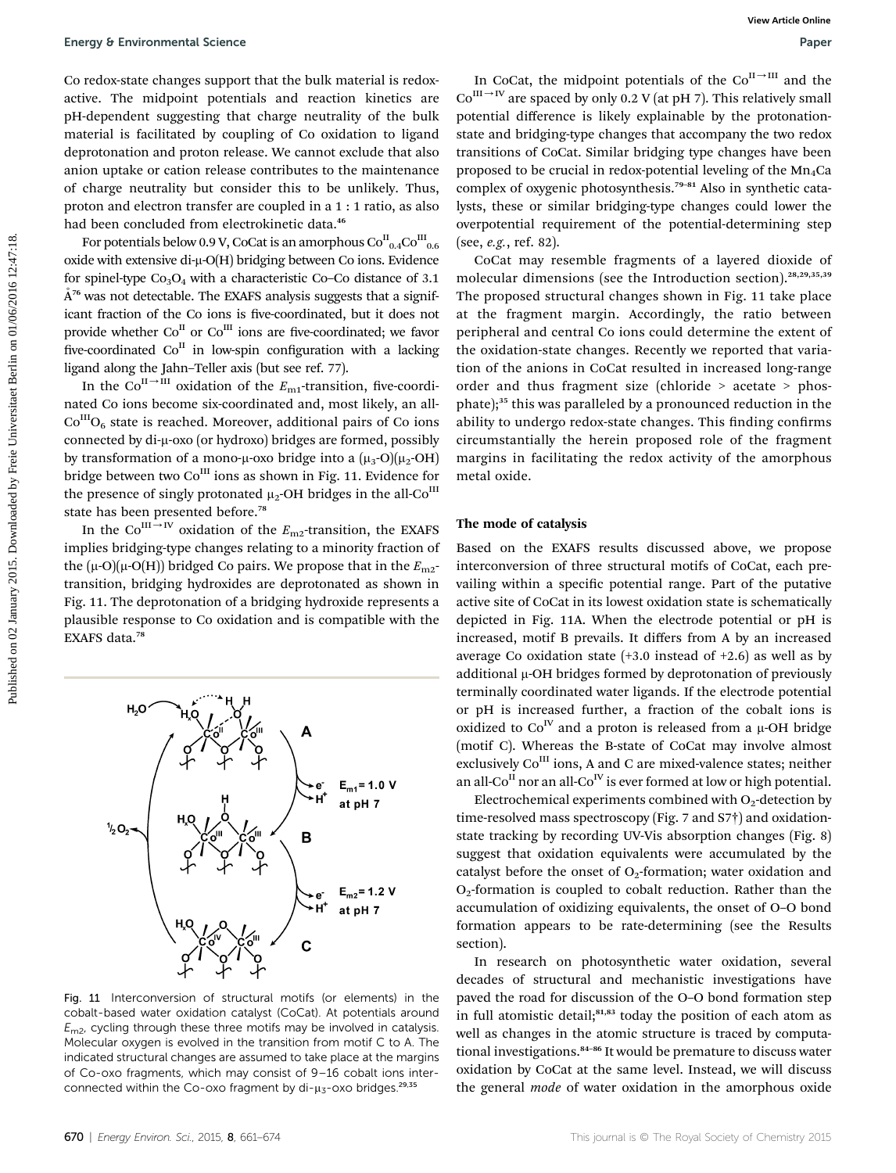For potentials below 0.9 V, CoCat is an amorphous  $\mathrm{Co}^{\mathrm{II}}_{-0.4}\mathrm{Co}^{\mathrm{III}}_{-0.6}$ oxide with extensive di- $\mu$ -O(H) bridging between Co ions. Evidence for spinel-type  $Co_3O_4$  with a characteristic Co–Co distance of 3.1  $A^{76}$  was not detectable. The EXAFS analysis suggests that a significant fraction of the Co ions is five-coordinated, but it does not provide whether  $Co^{II}$  or  $Co^{III}$  ions are five-coordinated; we favor five-coordinated  $Co<sup>H</sup>$  in low-spin configuration with a lacking ligand along the Jahn–Teller axis (but see ref. 77).

In the Co<sup>II-III</sup> oxidation of the  $E_{\text{m1}}$ -transition, five-coordinated Co ions become six-coordinated and, most likely, an all- $Co<sup>III</sup>O<sub>6</sub>$  state is reached. Moreover, additional pairs of Co ions connected by di-µ-oxo (or hydroxo) bridges are formed, possibly by transformation of a mono- $\mu$ -oxo bridge into a  $(\mu_3$ -O) $(\mu_2$ -OH) bridge between two Co<sup>III</sup> ions as shown in Fig. 11. Evidence for the presence of singly protonated  $\mu_2$ -OH bridges in the all-Co<sup>III</sup> state has been presented before.<sup>78</sup>

In the Co<sup>III</sup>-<sup>IV</sup> oxidation of the  $E_{\text{m2}}$ -transition, the EXAFS implies bridging-type changes relating to a minority fraction of the ( $\mu$ -O)( $\mu$ -O(H)) bridged Co pairs. We propose that in the  $E_{\text{m2}}$ transition, bridging hydroxides are deprotonated as shown in Fig. 11. The deprotonation of a bridging hydroxide represents a plausible response to Co oxidation and is compatible with the EXAFS data.<sup>78</sup>



Fig. 11 Interconversion of structural motifs (or elements) in the cobalt-based water oxidation catalyst (CoCat). At potentials around  $E_{\text{m2}}$ , cycling through these three motifs may be involved in catalysis. Molecular oxygen is evolved in the transition from motif C to A. The indicated structural changes are assumed to take place at the margins of Co-oxo fragments, which may consist of 9–16 cobalt ions interconnected within the Co-oxo fragment by  $di-\mu_{\overline{3}}$ -oxo bridges.<sup>29,35</sup>

In CoCat, the midpoint potentials of the  $Co<sup>H\rightarrow HI</sup>$  and the  $Co^{III\rightarrow IV}$  are spaced by only 0.2 V (at pH 7). This relatively small potential difference is likely explainable by the protonationstate and bridging-type changes that accompany the two redox transitions of CoCat. Similar bridging type changes have been proposed to be crucial in redox-potential leveling of the  $Mn_4Ca$ complex of oxygenic photosynthesis.<sup>79-81</sup> Also in synthetic catalysts, these or similar bridging-type changes could lower the overpotential requirement of the potential-determining step (see, e.g., ref. 82).

CoCat may resemble fragments of a layered dioxide of molecular dimensions (see the Introduction section).28,29,35,39 The proposed structural changes shown in Fig. 11 take place at the fragment margin. Accordingly, the ratio between peripheral and central Co ions could determine the extent of the oxidation-state changes. Recently we reported that variation of the anions in CoCat resulted in increased long-range order and thus fragment size (chloride > acetate > phosphate);<sup>35</sup> this was paralleled by a pronounced reduction in the ability to undergo redox-state changes. This finding confirms circumstantially the herein proposed role of the fragment margins in facilitating the redox activity of the amorphous metal oxide. Foreign 6 Environmental Science<br>
Corrected actions are the material in redesicing the restriction of the control of the control on the published by Freie Universitation of the published by Freie Universitation of the cont

#### The mode of catalysis

Based on the EXAFS results discussed above, we propose interconversion of three structural motifs of CoCat, each prevailing within a specific potential range. Part of the putative active site of CoCat in its lowest oxidation state is schematically depicted in Fig. 11A. When the electrode potential or pH is increased, motif B prevails. It differs from A by an increased average Co oxidation state  $(+3.0 \text{ instead of } +2.6)$  as well as by additional  $\mu$ -OH bridges formed by deprotonation of previously terminally coordinated water ligands. If the electrode potential or pH is increased further, a fraction of the cobalt ions is oxidized to  $Co<sup>N</sup>$  and a proton is released from a  $\mu$ -OH bridge (motif C). Whereas the B-state of CoCat may involve almost exclusively Co<sup>III</sup> ions, A and C are mixed-valence states; neither an all-Co<sup>II</sup> nor an all-Co<sup>IV</sup> is ever formed at low or high potential.

Electrochemical experiments combined with  $O<sub>2</sub>$ -detection by time-resolved mass spectroscopy (Fig. 7 and S7†) and oxidationstate tracking by recording UV-Vis absorption changes (Fig. 8) suggest that oxidation equivalents were accumulated by the catalyst before the onset of  $O<sub>2</sub>$ -formation; water oxidation and  $O<sub>2</sub>$ -formation is coupled to cobalt reduction. Rather than the accumulation of oxidizing equivalents, the onset of O–O bond formation appears to be rate-determining (see the Results section).

In research on photosynthetic water oxidation, several decades of structural and mechanistic investigations have paved the road for discussion of the O–O bond formation step in full atomistic detail;<sup>81,83</sup> today the position of each atom as well as changes in the atomic structure is traced by computational investigations.<sup>84-86</sup> It would be premature to discuss water oxidation by CoCat at the same level. Instead, we will discuss the general mode of water oxidation in the amorphous oxide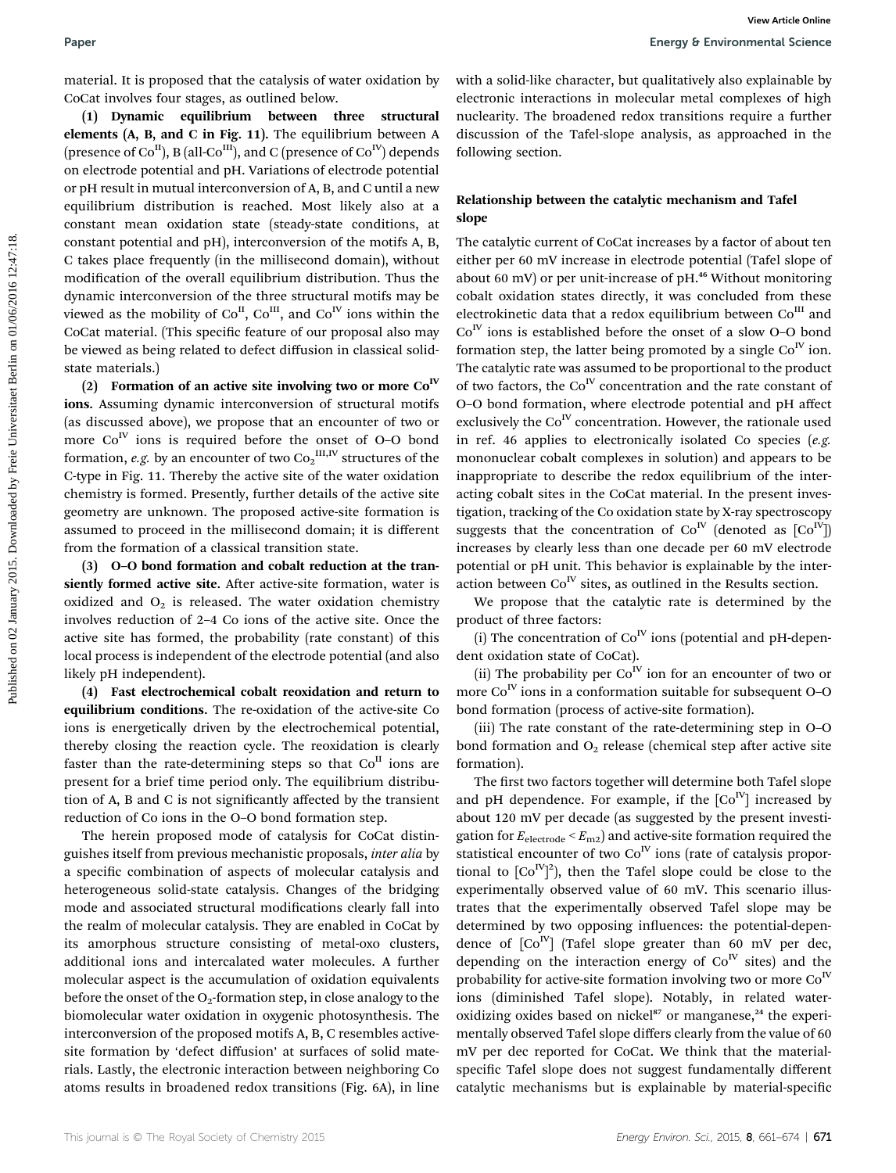material. It is proposed that the catalysis of water oxidation by CoCat involves four stages, as outlined below.

(1) Dynamic equilibrium between three structural elements (A, B, and C in Fig. 11). The equilibrium between A (presence of  $Co^{II}$ ), B (all- $Co^{III}$ ), and C (presence of  $Co^{IV}$ ) depends on electrode potential and pH. Variations of electrode potential or pH result in mutual interconversion of A, B, and C until a new equilibrium distribution is reached. Most likely also at a constant mean oxidation state (steady-state conditions, at constant potential and pH), interconversion of the motifs A, B, C takes place frequently (in the millisecond domain), without modification of the overall equilibrium distribution. Thus the dynamic interconversion of the three structural motifs may be viewed as the mobility of  $Co^{II}$ ,  $Co^{III}$ , and  $Co^{IV}$  ions within the CoCat material. (This specific feature of our proposal also may be viewed as being related to defect diffusion in classical solidstate materials.)

(2) Formation of an active site involving two or more  $Co<sup>IV</sup>$ ions. Assuming dynamic interconversion of structural motifs (as discussed above), we propose that an encounter of two or more  $Co<sup>N</sup>$  ions is required before the onset of O-O bond formation, *e.g.* by an encounter of two  $\mathrm{Co_2}^{\text{III,IV}}$  structures of the C-type in Fig. 11. Thereby the active site of the water oxidation chemistry is formed. Presently, further details of the active site geometry are unknown. The proposed active-site formation is assumed to proceed in the millisecond domain; it is different from the formation of a classical transition state.

(3) O–O bond formation and cobalt reduction at the transiently formed active site. After active-site formation, water is oxidized and  $O_2$  is released. The water oxidation chemistry involves reduction of 2–4 Co ions of the active site. Once the active site has formed, the probability (rate constant) of this local process is independent of the electrode potential (and also likely pH independent).

(4) Fast electrochemical cobalt reoxidation and return to equilibrium conditions. The re-oxidation of the active-site Co ions is energetically driven by the electrochemical potential, thereby closing the reaction cycle. The reoxidation is clearly faster than the rate-determining steps so that  $Co<sup>H</sup>$  ions are present for a brief time period only. The equilibrium distribution of A, B and C is not signicantly affected by the transient reduction of Co ions in the O–O bond formation step.

The herein proposed mode of catalysis for CoCat distinguishes itself from previous mechanistic proposals, inter alia by a specific combination of aspects of molecular catalysis and heterogeneous solid-state catalysis. Changes of the bridging mode and associated structural modifications clearly fall into the realm of molecular catalysis. They are enabled in CoCat by its amorphous structure consisting of metal-oxo clusters, additional ions and intercalated water molecules. A further molecular aspect is the accumulation of oxidation equivalents before the onset of the  $O_2$ -formation step, in close analogy to the biomolecular water oxidation in oxygenic photosynthesis. The interconversion of the proposed motifs A, B, C resembles activesite formation by 'defect diffusion' at surfaces of solid materials. Lastly, the electronic interaction between neighboring Co atoms results in broadened redox transitions (Fig. 6A), in line

with a solid-like character, but qualitatively also explainable by electronic interactions in molecular metal complexes of high nuclearity. The broadened redox transitions require a further discussion of the Tafel-slope analysis, as approached in the following section.

### Relationship between the catalytic mechanism and Tafel slope

The catalytic current of CoCat increases by a factor of about ten either per 60 mV increase in electrode potential (Tafel slope of about 60 mV) or per unit-increase of  $pH<sup>46</sup>$  Without monitoring cobalt oxidation states directly, it was concluded from these electrokinetic data that a redox equilibrium between  $Co<sup>III</sup>$  and  $Co<sup>N</sup>$  ions is established before the onset of a slow O–O bond formation step, the latter being promoted by a single  $Co<sup>IV</sup>$  ion. The catalytic rate was assumed to be proportional to the product of two factors, the  $Co<sup>N</sup>$  concentration and the rate constant of O–O bond formation, where electrode potential and pH affect exclusively the  $Co<sup>IV</sup>$  concentration. However, the rationale used in ref. 46 applies to electronically isolated Co species (e.g. mononuclear cobalt complexes in solution) and appears to be inappropriate to describe the redox equilibrium of the interacting cobalt sites in the CoCat material. In the present investigation, tracking of the Co oxidation state by X-ray spectroscopy suggests that the concentration of  $Co<sup>IV</sup>$  (denoted as  $[Co<sup>IV</sup>]$ ) increases by clearly less than one decade per 60 mV electrode potential or pH unit. This behavior is explainable by the interaction between  $Co<sup>IV</sup>$  sites, as outlined in the Results section. **Paper**<br> **Paper**<br> **Pack Cost into the control of the control of the control of the control of the control of the control of the control of the control of the control of the control of the control of the control of the con** 

We propose that the catalytic rate is determined by the product of three factors:

(i) The concentration of  $Co<sup>IV</sup>$  ions (potential and pH-dependent oxidation state of CoCat).

(ii) The probability per  $Co<sup>IV</sup>$  ion for an encounter of two or more  $Co<sup>IV</sup>$  ions in a conformation suitable for subsequent O–O bond formation (process of active-site formation).

(iii) The rate constant of the rate-determining step in O–O bond formation and  $O<sub>2</sub>$  release (chemical step after active site formation).

The first two factors together will determine both Tafel slope and pH dependence. For example, if the  $[Co<sup>IV</sup>]$  increased by about 120 mV per decade (as suggested by the present investigation for  $E_{\text{electrode}} < E_{\text{m2}}$  and active-site formation required the statistical encounter of two  $Co<sup>IV</sup>$  ions (rate of catalysis proportional to  $[Co<sup>IV</sup>]<sup>2</sup>$ ), then the Tafel slope could be close to the experimentally observed value of 60 mV. This scenario illustrates that the experimentally observed Tafel slope may be determined by two opposing influences: the potential-dependence of  $[Co<sup>IV</sup>]$  (Tafel slope greater than 60 mV per dec, depending on the interaction energy of  $Co<sup>N</sup>$  sites) and the probability for active-site formation involving two or more  $Co<sup>N</sup>$ ions (diminished Tafel slope). Notably, in related wateroxidizing oxides based on nickel $s<sup>7</sup>$  or manganese,<sup>24</sup> the experimentally observed Tafel slope differs clearly from the value of 60 mV per dec reported for CoCat. We think that the materialspecific Tafel slope does not suggest fundamentally different catalytic mechanisms but is explainable by material-specific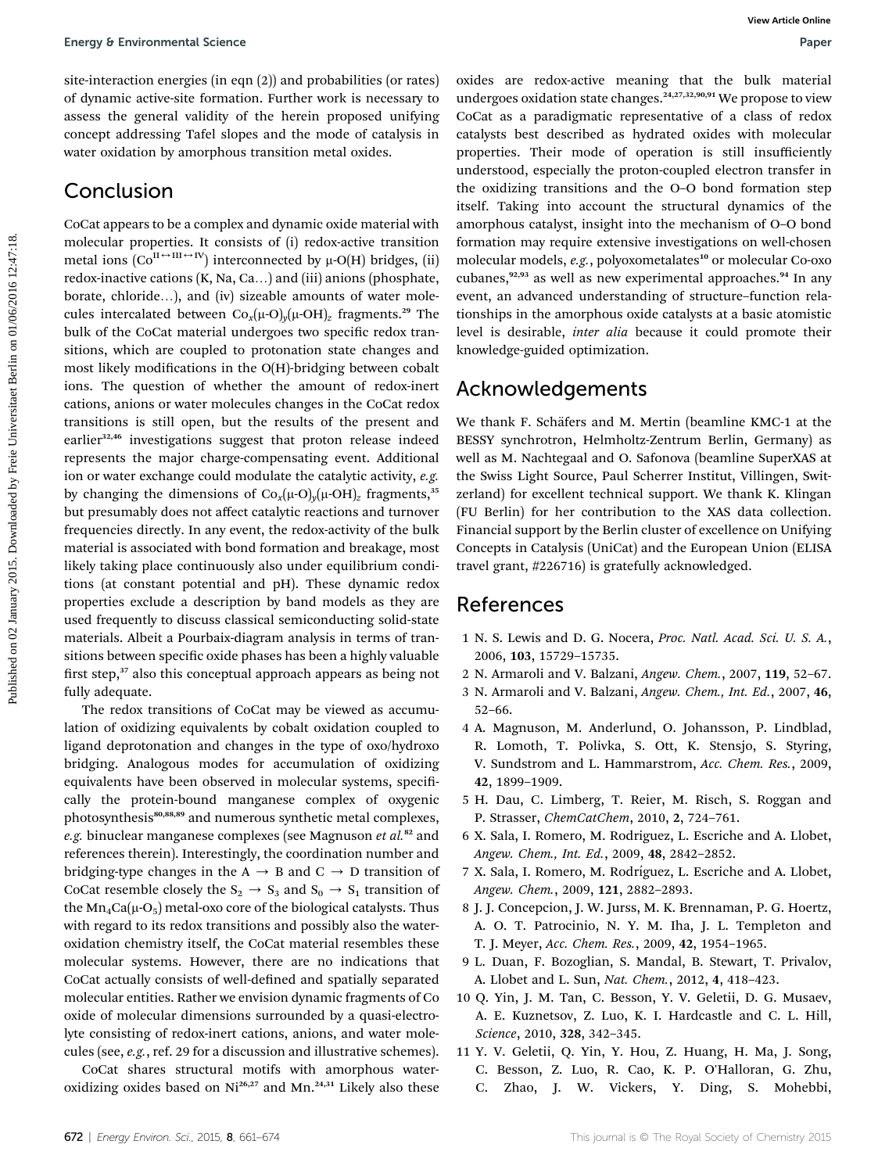site-interaction energies (in eqn (2)) and probabilities (or rates) of dynamic active-site formation. Further work is necessary to assess the general validity of the herein proposed unifying concept addressing Tafel slopes and the mode of catalysis in water oxidation by amorphous transition metal oxides.

### Conclusion

CoCat appears to be a complex and dynamic oxide material with molecular properties. It consists of (i) redox-active transition metal ions ( $Co^{II \leftrightarrow III \leftrightarrow IV}$ ) interconnected by  $\mu$ -O(H) bridges, (ii) redox-inactive cations  $(K, Na, Ca...)$  and (iii) anions (phosphate, borate, chloride...), and (iv) sizeable amounts of water molecules intercalated between  $Co_x(\mu-O)_y(\mu-OH)_z$  fragments.<sup>29</sup> The bulk of the CoCat material undergoes two specific redox transitions, which are coupled to protonation state changes and most likely modifications in the  $O(H)$ -bridging between cobalt ions. The question of whether the amount of redox-inert cations, anions or water molecules changes in the CoCat redox transitions is still open, but the results of the present and earlier<sup>32,46</sup> investigations suggest that proton release indeed represents the major charge-compensating event. Additional ion or water exchange could modulate the catalytic activity, e.g. by changing the dimensions of  $Co_x(\mu-O)_y(\mu-OH)_z$  fragments,<sup>35</sup> but presumably does not affect catalytic reactions and turnover frequencies directly. In any event, the redox-activity of the bulk material is associated with bond formation and breakage, most likely taking place continuously also under equilibrium conditions (at constant potential and pH). These dynamic redox properties exclude a description by band models as they are used frequently to discuss classical semiconducting solid-state materials. Albeit a Pourbaix-diagram analysis in terms of transitions between specific oxide phases has been a highly valuable first step,<sup>37</sup> also this conceptual approach appears as being not fully adequate. Foreign 0 Environmental Science<br>
is interaction energies (in eqn. (2)) and probabilities (or rates) coince are redocedure meaning. Can the bulk material of the<br>
interaction are reduced by Freie Universite Berlin on the Har

The redox transitions of CoCat may be viewed as accumulation of oxidizing equivalents by cobalt oxidation coupled to ligand deprotonation and changes in the type of oxo/hydroxo bridging. Analogous modes for accumulation of oxidizing equivalents have been observed in molecular systems, specifically the protein-bound manganese complex of oxygenic photosynthesis<sup>80,88,89</sup> and numerous synthetic metal complexes, e.g. binuclear manganese complexes (see Magnuson et  $al$ .<sup>82</sup> and references therein). Interestingly, the coordination number and bridging-type changes in the A  $\rightarrow$  B and C  $\rightarrow$  D transition of CoCat resemble closely the  $S_2 \rightarrow S_3$  and  $S_0 \rightarrow S_1$  transition of the  $Mn_4Ca(\mu-O_5)$  metal-oxo core of the biological catalysts. Thus with regard to its redox transitions and possibly also the wateroxidation chemistry itself, the CoCat material resembles these molecular systems. However, there are no indications that CoCat actually consists of well-defined and spatially separated molecular entities. Rather we envision dynamic fragments of Co oxide of molecular dimensions surrounded by a quasi-electrolyte consisting of redox-inert cations, anions, and water molecules (see, e.g., ref. 29 for a discussion and illustrative schemes).

CoCat shares structural motifs with amorphous wateroxidizing oxides based on Ni<sup>26,27</sup> and Mn.<sup>24,31</sup> Likely also these oxides are redox-active meaning that the bulk material undergoes oxidation state changes.<sup>24,27,32,90,91</sup> We propose to view CoCat as a paradigmatic representative of a class of redox catalysts best described as hydrated oxides with molecular properties. Their mode of operation is still insufficiently understood, especially the proton-coupled electron transfer in the oxidizing transitions and the O–O bond formation step itself. Taking into account the structural dynamics of the amorphous catalyst, insight into the mechanism of O–O bond formation may require extensive investigations on well-chosen molecular models, e.g., polyoxometalates<sup>10</sup> or molecular Co-oxo cubanes,<sup>92,93</sup> as well as new experimental approaches.<sup>94</sup> In any event, an advanced understanding of structure–function relationships in the amorphous oxide catalysts at a basic atomistic level is desirable, inter alia because it could promote their knowledge-guided optimization.

### Acknowledgements

We thank F. Schäfers and M. Mertin (beamline KMC-1 at the BESSY synchrotron, Helmholtz-Zentrum Berlin, Germany) as well as M. Nachtegaal and O. Safonova (beamline SuperXAS at the Swiss Light Source, Paul Scherrer Institut, Villingen, Switzerland) for excellent technical support. We thank K. Klingan (FU Berlin) for her contribution to the XAS data collection. Financial support by the Berlin cluster of excellence on Unifying Concepts in Catalysis (UniCat) and the European Union (ELISA travel grant, #226716) is gratefully acknowledged.

### References

- 1 N. S. Lewis and D. G. Nocera, Proc. Natl. Acad. Sci. U. S. A., 2006, 103, 15729–15735.
- 2 N. Armaroli and V. Balzani, Angew. Chem., 2007, 119, 52–67.
- 3 N. Armaroli and V. Balzani, Angew. Chem., Int. Ed., 2007, 46, 52–66.
- 4 A. Magnuson, M. Anderlund, O. Johansson, P. Lindblad, R. Lomoth, T. Polivka, S. Ott, K. Stensjo, S. Styring, V. Sundstrom and L. Hammarstrom, Acc. Chem. Res., 2009, 42, 1899–1909.
- 5 H. Dau, C. Limberg, T. Reier, M. Risch, S. Roggan and P. Strasser, ChemCatChem, 2010, 2, 724–761.
- 6 X. Sala, I. Romero, M. Rodriguez, L. Escriche and A. Llobet, Angew. Chem., Int. Ed., 2009, 48, 2842–2852.
- 7 X. Sala, I. Romero, M. Rodríguez, L. Escriche and A. Llobet, Angew. Chem., 2009, 121, 2882–2893.
- 8 J. J. Concepcion, J. W. Jurss, M. K. Brennaman, P. G. Hoertz, A. O. T. Patrocinio, N. Y. M. Iha, J. L. Templeton and T. J. Meyer, Acc. Chem. Res., 2009, 42, 1954–1965.
- 9 L. Duan, F. Bozoglian, S. Mandal, B. Stewart, T. Privalov, A. Llobet and L. Sun, Nat. Chem., 2012, 4, 418–423.
- 10 Q. Yin, J. M. Tan, C. Besson, Y. V. Geletii, D. G. Musaev, A. E. Kuznetsov, Z. Luo, K. I. Hardcastle and C. L. Hill, Science, 2010, 328, 342–345.
- 11 Y. V. Geletii, Q. Yin, Y. Hou, Z. Huang, H. Ma, J. Song, C. Besson, Z. Luo, R. Cao, K. P. O'Halloran, G. Zhu, C. Zhao, J. W. Vickers, Y. Ding, S. Mohebbi,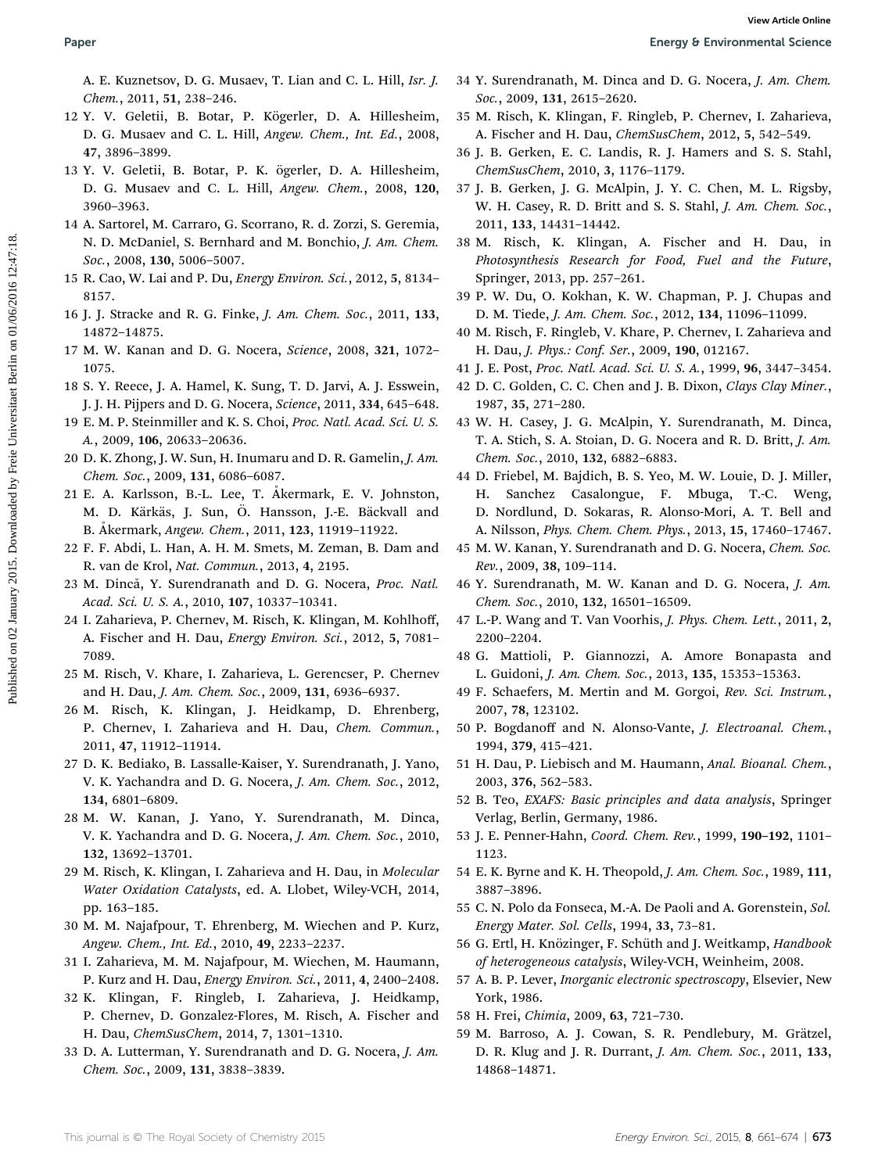A. E. Kuznetsov, D. G. Musaev, T. Lian and C. L. Hill, Isr. J. Chem., 2011, 51, 238–246.

- 12 Y. V. Geletii, B. Botar, P. Kögerler, D. A. Hillesheim, D. G. Musaev and C. L. Hill, Angew. Chem., Int. Ed., 2008, 47, 3896–3899.
- 13 Y. V. Geletii, B. Botar, P. K. ögerler, D. A. Hillesheim, D. G. Musaev and C. L. Hill, Angew. Chem., 2008, 120, 3960–3963.
- 14 A. Sartorel, M. Carraro, G. Scorrano, R. d. Zorzi, S. Geremia, N. D. McDaniel, S. Bernhard and M. Bonchio, J. Am. Chem. Soc., 2008, 130, 5006–5007.
- 15 R. Cao, W. Lai and P. Du, Energy Environ. Sci., 2012, 5, 8134– 8157.
- 16 J. J. Stracke and R. G. Finke, J. Am. Chem. Soc., 2011, 133, 14872–14875.
- 17 M. W. Kanan and D. G. Nocera, Science, 2008, 321, 1072– 1075.
- 18 S. Y. Reece, J. A. Hamel, K. Sung, T. D. Jarvi, A. J. Esswein, J. J. H. Pijpers and D. G. Nocera, Science, 2011, 334, 645–648.
- 19 E. M. P. Steinmiller and K. S. Choi, Proc. Natl. Acad. Sci. U. S. A., 2009, 106, 20633–20636.
- 20 D. K. Zhong, J. W. Sun, H. Inumaru and D. R. Gamelin, J. Am. Chem. Soc., 2009, 131, 6086–6087.
- 21 E. A. Karlsson, B.-L. Lee, T. Akermark, E. V. Johnston, M. D. Kärkäs, J. Sun, Ö. Hansson, J.-E. Bäckvall and B. Åkermark, Angew. Chem., 2011, 123, 11919-11922.
- 22 F. F. Abdi, L. Han, A. H. M. Smets, M. Zeman, B. Dam and R. van de Krol, Nat. Commun., 2013, 4, 2195.
- 23 M. Dincă, Y. Surendranath and D. G. Nocera, Proc. Natl. Acad. Sci. U. S. A., 2010, 107, 10337–10341.
- 24 I. Zaharieva, P. Chernev, M. Risch, K. Klingan, M. Kohlhoff, A. Fischer and H. Dau, Energy Environ. Sci., 2012, 5, 7081– 7089.
- 25 M. Risch, V. Khare, I. Zaharieva, L. Gerencser, P. Chernev and H. Dau, J. Am. Chem. Soc., 2009, 131, 6936–6937.
- 26 M. Risch, K. Klingan, J. Heidkamp, D. Ehrenberg, P. Chernev, I. Zaharieva and H. Dau, Chem. Commun., 2011, 47, 11912–11914.
- 27 D. K. Bediako, B. Lassalle-Kaiser, Y. Surendranath, J. Yano, V. K. Yachandra and D. G. Nocera, J. Am. Chem. Soc., 2012, 134, 6801–6809.
- 28 M. W. Kanan, J. Yano, Y. Surendranath, M. Dinca, V. K. Yachandra and D. G. Nocera, J. Am. Chem. Soc., 2010, 132, 13692–13701.
- 29 M. Risch, K. Klingan, I. Zaharieva and H. Dau, in Molecular Water Oxidation Catalysts, ed. A. Llobet, Wiley-VCH, 2014, pp. 163–185.
- 30 M. M. Najafpour, T. Ehrenberg, M. Wiechen and P. Kurz, Angew. Chem., Int. Ed., 2010, 49, 2233–2237.
- 31 I. Zaharieva, M. M. Najafpour, M. Wiechen, M. Haumann, P. Kurz and H. Dau, Energy Environ. Sci., 2011, 4, 2400–2408.
- 32 K. Klingan, F. Ringleb, I. Zaharieva, J. Heidkamp, P. Chernev, D. Gonzalez-Flores, M. Risch, A. Fischer and H. Dau, ChemSusChem, 2014, 7, 1301–1310.
- 33 D. A. Lutterman, Y. Surendranath and D. G. Nocera, J. Am. Chem. Soc., 2009, 131, 3838–3839.
- 34 Y. Surendranath, M. Dinca and D. G. Nocera, J. Am. Chem. Soc., 2009, 131, 2615–2620.
- 35 M. Risch, K. Klingan, F. Ringleb, P. Chernev, I. Zaharieva, A. Fischer and H. Dau, ChemSusChem, 2012, 5, 542–549.
- 36 J. B. Gerken, E. C. Landis, R. J. Hamers and S. S. Stahl, ChemSusChem, 2010, 3, 1176–1179.
- 37 J. B. Gerken, J. G. McAlpin, J. Y. C. Chen, M. L. Rigsby, W. H. Casey, R. D. Britt and S. S. Stahl, J. Am. Chem. Soc., 2011, 133, 14431–14442.
- 38 M. Risch, K. Klingan, A. Fischer and H. Dau, in Photosynthesis Research for Food, Fuel and the Future, Springer, 2013, pp. 257–261.
- 39 P. W. Du, O. Kokhan, K. W. Chapman, P. J. Chupas and D. M. Tiede, J. Am. Chem. Soc., 2012, 134, 11096–11099.
- 40 M. Risch, F. Ringleb, V. Khare, P. Chernev, I. Zaharieva and H. Dau, J. Phys.: Conf. Ser., 2009, 190, 012167.
- 41 J. E. Post, Proc. Natl. Acad. Sci. U. S. A., 1999, 96, 3447–3454.
- 42 D. C. Golden, C. C. Chen and J. B. Dixon, Clays Clay Miner., 1987, 35, 271–280.
- 43 W. H. Casey, J. G. McAlpin, Y. Surendranath, M. Dinca, T. A. Stich, S. A. Stoian, D. G. Nocera and R. D. Britt, J. Am. Chem. Soc., 2010, 132, 6882–6883.
- 44 D. Friebel, M. Bajdich, B. S. Yeo, M. W. Louie, D. J. Miller, H. Sanchez Casalongue, F. Mbuga, T.-C. Weng, D. Nordlund, D. Sokaras, R. Alonso-Mori, A. T. Bell and A. Nilsson, Phys. Chem. Chem. Phys., 2013, 15, 17460–17467. **Paper**<br> **A. E. Kuanciov**, B. O. Massec, F. Lim, I. Br. J. Hill, Br. J. 31 Y. Stevenbannels, M. Direct and D. G. Noters, J. And R. C. Hill, Angelic Co. R. Hillsheim, 2016. A. Hill, Angele Co. A. Hill, Angele Co. A. Hill,
	- 45 M. W. Kanan, Y. Surendranath and D. G. Nocera, Chem. Soc. Rev., 2009, 38, 109–114.
	- 46 Y. Surendranath, M. W. Kanan and D. G. Nocera, J. Am. Chem. Soc., 2010, 132, 16501–16509.
	- 47 L.-P. Wang and T. Van Voorhis, J. Phys. Chem. Lett., 2011, 2, 2200–2204.
	- 48 G. Mattioli, P. Giannozzi, A. Amore Bonapasta and L. Guidoni, J. Am. Chem. Soc., 2013, 135, 15353–15363.
	- 49 F. Schaefers, M. Mertin and M. Gorgoi, Rev. Sci. Instrum., 2007, 78, 123102.
	- 50 P. Bogdanoff and N. Alonso-Vante, J. Electroanal. Chem., 1994, 379, 415–421.
	- 51 H. Dau, P. Liebisch and M. Haumann, Anal. Bioanal. Chem., 2003, 376, 562–583.
	- 52 B. Teo, EXAFS: Basic principles and data analysis, Springer Verlag, Berlin, Germany, 1986.
	- 53 J. E. Penner-Hahn, Coord. Chem. Rev., 1999, 190–192, 1101– 1123.
	- 54 E. K. Byrne and K. H. Theopold, J. Am. Chem. Soc., 1989, 111, 3887–3896.
	- 55 C. N. Polo da Fonseca, M.-A. De Paoli and A. Gorenstein, Sol. Energy Mater. Sol. Cells, 1994, 33, 73–81.
	- 56 G. Ertl, H. Knözinger, F. Schüth and J. Weitkamp, Handbook of heterogeneous catalysis, Wiley-VCH, Weinheim, 2008.
	- 57 A. B. P. Lever, Inorganic electronic spectroscopy, Elsevier, New York, 1986.
	- 58 H. Frei, Chimia, 2009, 63, 721–730.
	- 59 M. Barroso, A. J. Cowan, S. R. Pendlebury, M. Grätzel, D. R. Klug and J. R. Durrant, J. Am. Chem. Soc., 2011, 133, 14868–14871.